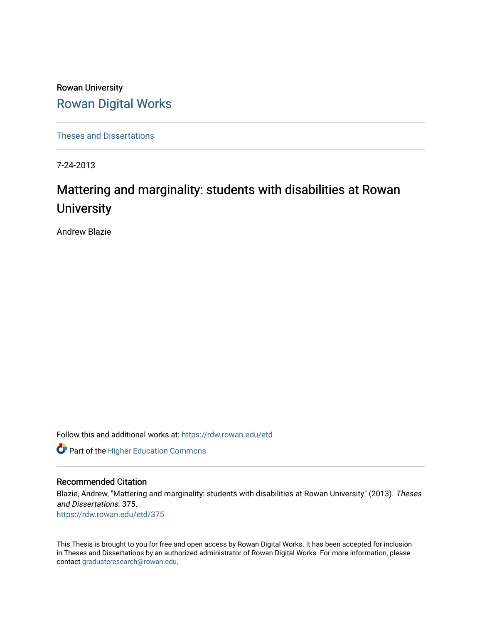Rowan University [Rowan Digital Works](https://rdw.rowan.edu/)

[Theses and Dissertations](https://rdw.rowan.edu/etd)

7-24-2013

# Mattering and marginality: students with disabilities at Rowan **University**

Andrew Blazie

Follow this and additional works at: [https://rdw.rowan.edu/etd](https://rdw.rowan.edu/etd?utm_source=rdw.rowan.edu%2Fetd%2F375&utm_medium=PDF&utm_campaign=PDFCoverPages) 

**Part of the Higher Education Commons** 

# Recommended Citation

Blazie, Andrew, "Mattering and marginality: students with disabilities at Rowan University" (2013). Theses and Dissertations. 375. [https://rdw.rowan.edu/etd/375](https://rdw.rowan.edu/etd/375?utm_source=rdw.rowan.edu%2Fetd%2F375&utm_medium=PDF&utm_campaign=PDFCoverPages) 

This Thesis is brought to you for free and open access by Rowan Digital Works. It has been accepted for inclusion in Theses and Dissertations by an authorized administrator of Rowan Digital Works. For more information, please contact [graduateresearch@rowan.edu.](mailto:graduateresearch@rowan.edu)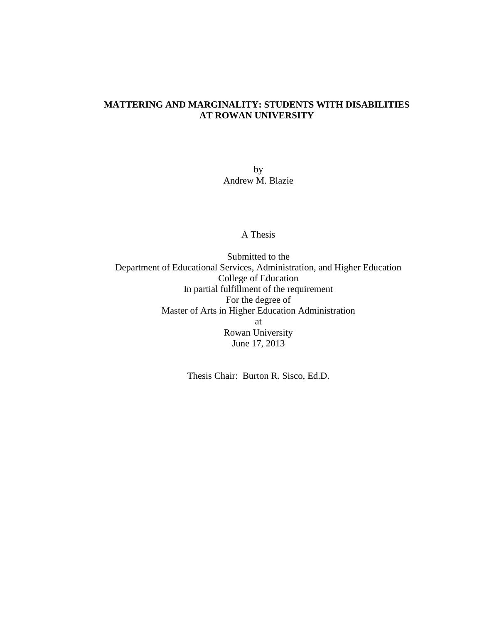# **MATTERING AND MARGINALITY: STUDENTS WITH DISABILITIES AT ROWAN UNIVERSITY**

by Andrew M. Blazie

A Thesis

Submitted to the Department of Educational Services, Administration, and Higher Education College of Education In partial fulfillment of the requirement For the degree of Master of Arts in Higher Education Administration at Rowan University June 17, 2013

Thesis Chair: Burton R. Sisco, Ed.D.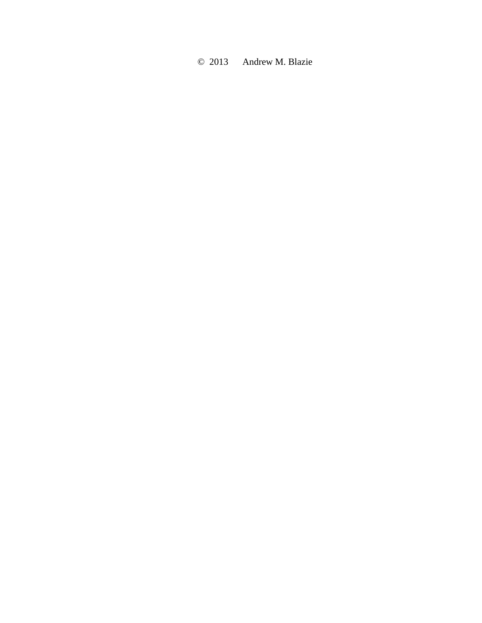© 2013 Andrew M. Blazie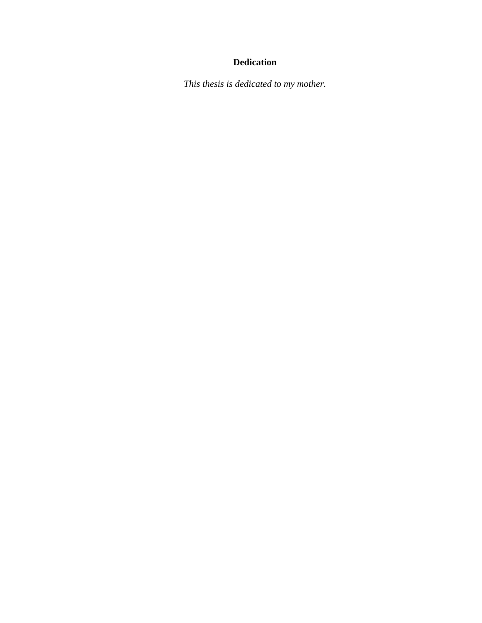# **Dedication**

*This thesis is dedicated to my mother.*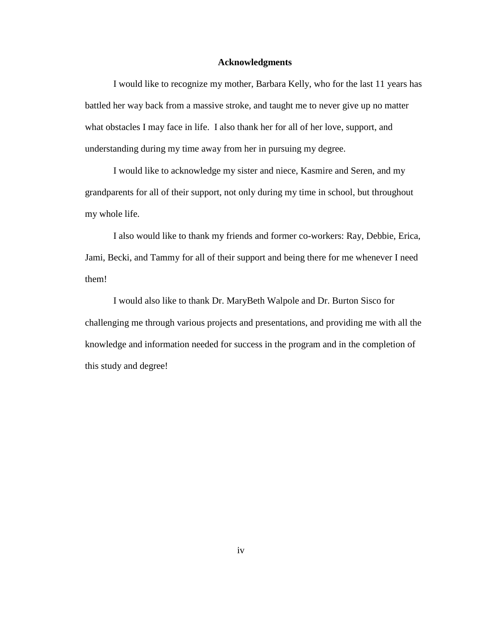#### **Acknowledgments**

I would like to recognize my mother, Barbara Kelly, who for the last 11 years has battled her way back from a massive stroke, and taught me to never give up no matter what obstacles I may face in life. I also thank her for all of her love, support, and understanding during my time away from her in pursuing my degree.

I would like to acknowledge my sister and niece, Kasmire and Seren, and my grandparents for all of their support, not only during my time in school, but throughout my whole life.

I also would like to thank my friends and former co-workers: Ray, Debbie, Erica, Jami, Becki, and Tammy for all of their support and being there for me whenever I need them!

I would also like to thank Dr. MaryBeth Walpole and Dr. Burton Sisco for challenging me through various projects and presentations, and providing me with all the knowledge and information needed for success in the program and in the completion of this study and degree!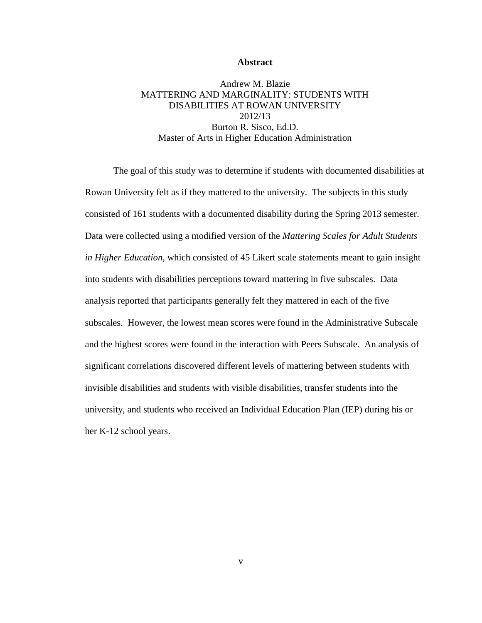#### **Abstract**

Andrew M. Blazie MATTERING AND MARGINALITY: STUDENTS WITH DISABILITIES AT ROWAN UNIVERSITY 2012/13 Burton R. Sisco, Ed.D. Master of Arts in Higher Education Administration

The goal of this study was to determine if students with documented disabilities at Rowan University felt as if they mattered to the university. The subjects in this study consisted of 161 students with a documented disability during the Spring 2013 semester. Data were collected using a modified version of the *Mattering Scales for Adult Students in Higher Education*, which consisted of 45 Likert scale statements meant to gain insight into students with disabilities perceptions toward mattering in five subscales. Data analysis reported that participants generally felt they mattered in each of the five subscales. However, the lowest mean scores were found in the Administrative Subscale and the highest scores were found in the interaction with Peers Subscale. An analysis of significant correlations discovered different levels of mattering between students with invisible disabilities and students with visible disabilities, transfer students into the university, and students who received an Individual Education Plan (IEP) during his or her K-12 school years.

v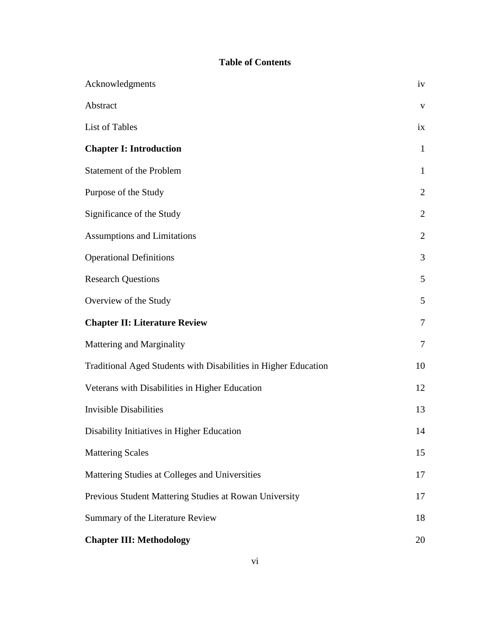# **Table of Contents**

| Acknowledgments                                                 | iv             |
|-----------------------------------------------------------------|----------------|
| Abstract                                                        | $\mathbf{V}$   |
| List of Tables                                                  | ix             |
| <b>Chapter I: Introduction</b>                                  | $\mathbf{1}$   |
| Statement of the Problem                                        | $\mathbf{1}$   |
| Purpose of the Study                                            | $\overline{2}$ |
| Significance of the Study                                       | $\overline{2}$ |
| <b>Assumptions and Limitations</b>                              | $\overline{2}$ |
| <b>Operational Definitions</b>                                  | 3              |
| <b>Research Questions</b>                                       | 5              |
| Overview of the Study                                           | 5              |
| <b>Chapter II: Literature Review</b>                            | $\overline{7}$ |
| Mattering and Marginality                                       | 7              |
| Traditional Aged Students with Disabilities in Higher Education | 10             |
| Veterans with Disabilities in Higher Education                  | 12             |
| <b>Invisible Disabilities</b>                                   | 13             |
| Disability Initiatives in Higher Education                      | 14             |
| <b>Mattering Scales</b>                                         | 15             |
| Mattering Studies at Colleges and Universities                  | 17             |
| Previous Student Mattering Studies at Rowan University          | 17             |
| Summary of the Literature Review                                | 18             |
| <b>Chapter III: Methodology</b>                                 | 20             |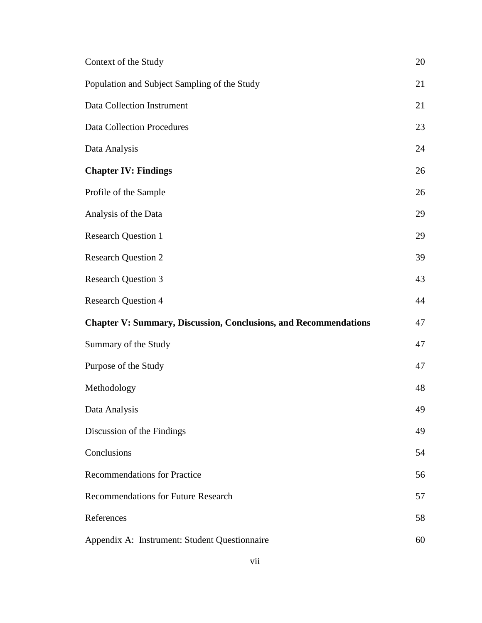| Context of the Study                                                    | 20 |
|-------------------------------------------------------------------------|----|
| Population and Subject Sampling of the Study                            | 21 |
| Data Collection Instrument                                              | 21 |
| <b>Data Collection Procedures</b>                                       | 23 |
| Data Analysis                                                           | 24 |
| <b>Chapter IV: Findings</b>                                             | 26 |
| Profile of the Sample                                                   | 26 |
| Analysis of the Data                                                    | 29 |
| <b>Research Question 1</b>                                              | 29 |
| <b>Research Question 2</b>                                              | 39 |
| <b>Research Question 3</b>                                              | 43 |
| <b>Research Question 4</b>                                              | 44 |
| <b>Chapter V: Summary, Discussion, Conclusions, and Recommendations</b> | 47 |
| Summary of the Study                                                    | 47 |
| Purpose of the Study                                                    | 47 |
| Methodology                                                             | 48 |
| Data Analysis                                                           | 49 |
| Discussion of the Findings                                              | 49 |
| Conclusions                                                             | 54 |
| <b>Recommendations for Practice</b>                                     | 56 |
| <b>Recommendations for Future Research</b>                              | 57 |
| References                                                              | 58 |
| Appendix A: Instrument: Student Questionnaire                           | 60 |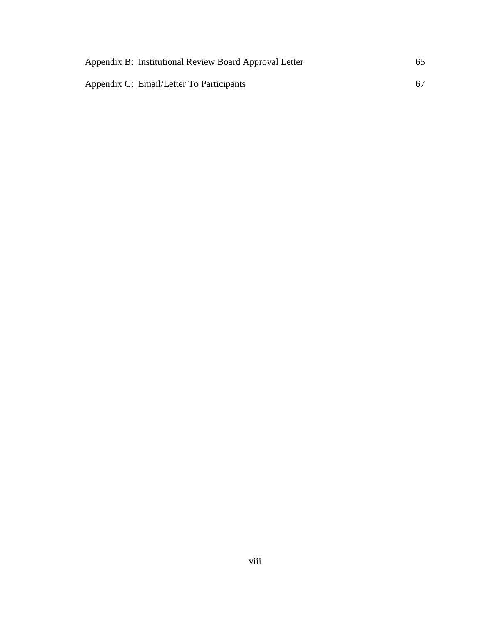| Appendix B: Institutional Review Board Approval Letter | 65 |
|--------------------------------------------------------|----|
| Appendix C: Email/Letter To Participants               | 67 |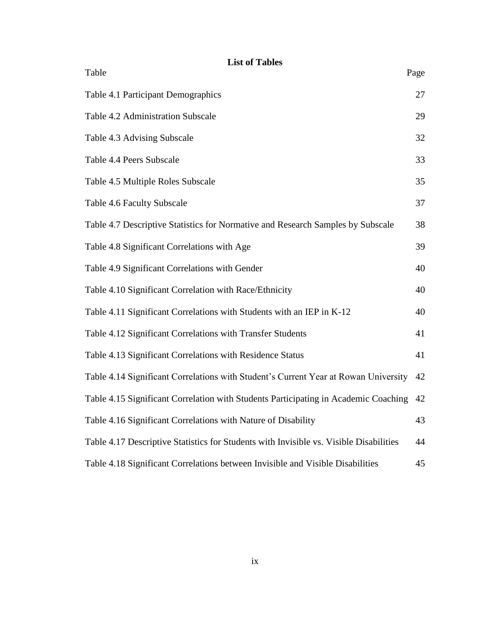# **List of Tables**

Table Page

| Table 4.1 Participant Demographics                                                     | 27 |
|----------------------------------------------------------------------------------------|----|
| Table 4.2 Administration Subscale                                                      | 29 |
| Table 4.3 Advising Subscale                                                            | 32 |
| Table 4.4 Peers Subscale                                                               | 33 |
| Table 4.5 Multiple Roles Subscale                                                      | 35 |
| Table 4.6 Faculty Subscale                                                             | 37 |
| Table 4.7 Descriptive Statistics for Normative and Research Samples by Subscale        | 38 |
| Table 4.8 Significant Correlations with Age                                            | 39 |
| Table 4.9 Significant Correlations with Gender                                         | 40 |
| Table 4.10 Significant Correlation with Race/Ethnicity                                 | 40 |
| Table 4.11 Significant Correlations with Students with an IEP in K-12                  | 40 |
| Table 4.12 Significant Correlations with Transfer Students                             | 41 |
| Table 4.13 Significant Correlations with Residence Status                              | 41 |
| Table 4.14 Significant Correlations with Student's Current Year at Rowan University    | 42 |
| Table 4.15 Significant Correlation with Students Participating in Academic Coaching    | 42 |
| Table 4.16 Significant Correlations with Nature of Disability                          | 43 |
| Table 4.17 Descriptive Statistics for Students with Invisible vs. Visible Disabilities | 44 |
| Table 4.18 Significant Correlations between Invisible and Visible Disabilities         | 45 |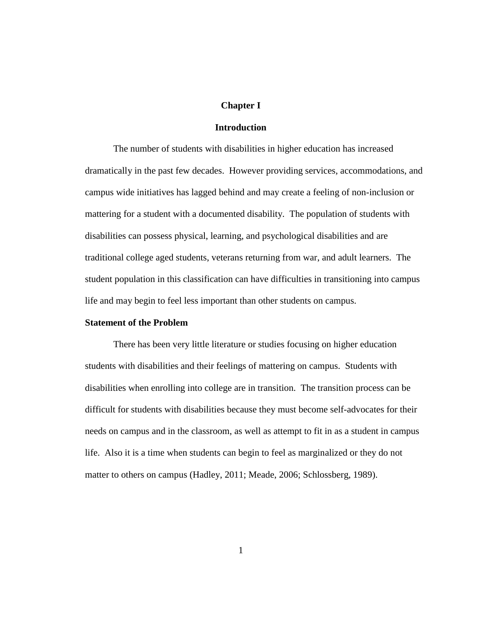## **Chapter I**

#### **Introduction**

The number of students with disabilities in higher education has increased dramatically in the past few decades. However providing services, accommodations, and campus wide initiatives has lagged behind and may create a feeling of non-inclusion or mattering for a student with a documented disability. The population of students with disabilities can possess physical, learning, and psychological disabilities and are traditional college aged students, veterans returning from war, and adult learners. The student population in this classification can have difficulties in transitioning into campus life and may begin to feel less important than other students on campus.

# **Statement of the Problem**

There has been very little literature or studies focusing on higher education students with disabilities and their feelings of mattering on campus. Students with disabilities when enrolling into college are in transition. The transition process can be difficult for students with disabilities because they must become self-advocates for their needs on campus and in the classroom, as well as attempt to fit in as a student in campus life. Also it is a time when students can begin to feel as marginalized or they do not matter to others on campus (Hadley, 2011; Meade, 2006; Schlossberg, 1989).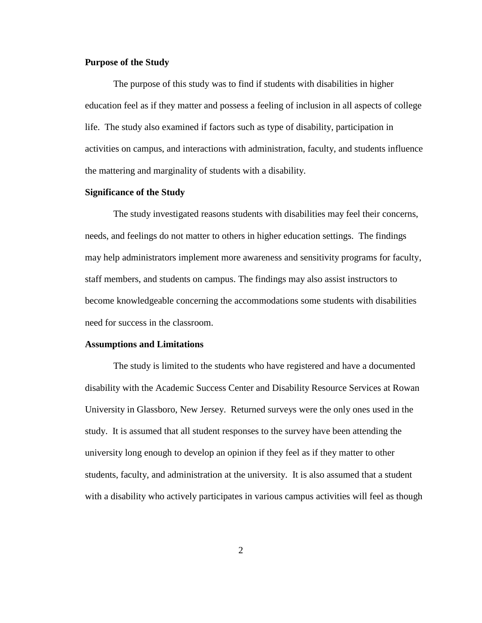# **Purpose of the Study**

The purpose of this study was to find if students with disabilities in higher education feel as if they matter and possess a feeling of inclusion in all aspects of college life. The study also examined if factors such as type of disability, participation in activities on campus, and interactions with administration, faculty, and students influence the mattering and marginality of students with a disability.

### **Significance of the Study**

The study investigated reasons students with disabilities may feel their concerns, needs, and feelings do not matter to others in higher education settings. The findings may help administrators implement more awareness and sensitivity programs for faculty, staff members, and students on campus. The findings may also assist instructors to become knowledgeable concerning the accommodations some students with disabilities need for success in the classroom.

#### **Assumptions and Limitations**

The study is limited to the students who have registered and have a documented disability with the Academic Success Center and Disability Resource Services at Rowan University in Glassboro, New Jersey. Returned surveys were the only ones used in the study. It is assumed that all student responses to the survey have been attending the university long enough to develop an opinion if they feel as if they matter to other students, faculty, and administration at the university. It is also assumed that a student with a disability who actively participates in various campus activities will feel as though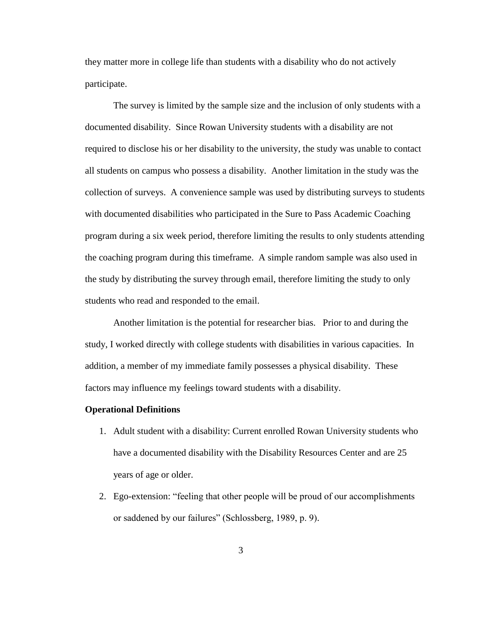they matter more in college life than students with a disability who do not actively participate.

The survey is limited by the sample size and the inclusion of only students with a documented disability. Since Rowan University students with a disability are not required to disclose his or her disability to the university, the study was unable to contact all students on campus who possess a disability. Another limitation in the study was the collection of surveys. A convenience sample was used by distributing surveys to students with documented disabilities who participated in the Sure to Pass Academic Coaching program during a six week period, therefore limiting the results to only students attending the coaching program during this timeframe. A simple random sample was also used in the study by distributing the survey through email, therefore limiting the study to only students who read and responded to the email.

Another limitation is the potential for researcher bias. Prior to and during the study, I worked directly with college students with disabilities in various capacities. In addition, a member of my immediate family possesses a physical disability. These factors may influence my feelings toward students with a disability.

#### **Operational Definitions**

- 1. Adult student with a disability: Current enrolled Rowan University students who have a documented disability with the Disability Resources Center and are 25 years of age or older.
- 2. Ego-extension: "feeling that other people will be proud of our accomplishments or saddened by our failures" (Schlossberg, 1989, p. 9).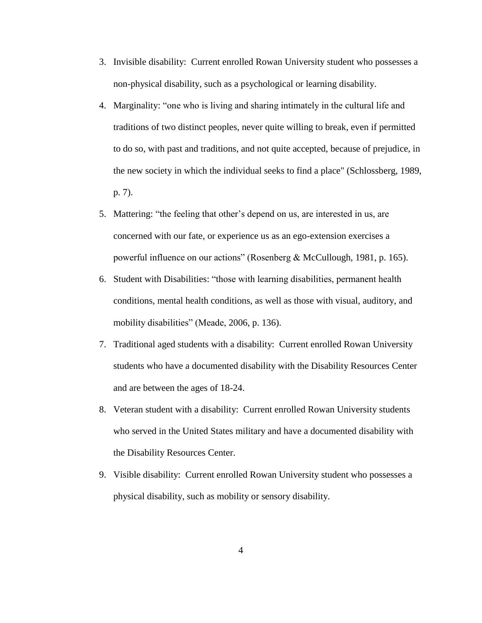- 3. Invisible disability: Current enrolled Rowan University student who possesses a non-physical disability, such as a psychological or learning disability.
- 4. Marginality: "one who is living and sharing intimately in the cultural life and traditions of two distinct peoples, never quite willing to break, even if permitted to do so, with past and traditions, and not quite accepted, because of prejudice, in the new society in which the individual seeks to find a place" (Schlossberg, 1989, p. 7).
- 5. Mattering: "the feeling that other's depend on us, are interested in us, are concerned with our fate, or experience us as an ego-extension exercises a powerful influence on our actions" (Rosenberg & McCullough, 1981, p. 165).
- 6. Student with Disabilities: "those with learning disabilities, permanent health conditions, mental health conditions, as well as those with visual, auditory, and mobility disabilities" (Meade, 2006, p. 136).
- 7. Traditional aged students with a disability: Current enrolled Rowan University students who have a documented disability with the Disability Resources Center and are between the ages of 18-24.
- 8. Veteran student with a disability: Current enrolled Rowan University students who served in the United States military and have a documented disability with the Disability Resources Center.
- 9. Visible disability: Current enrolled Rowan University student who possesses a physical disability, such as mobility or sensory disability.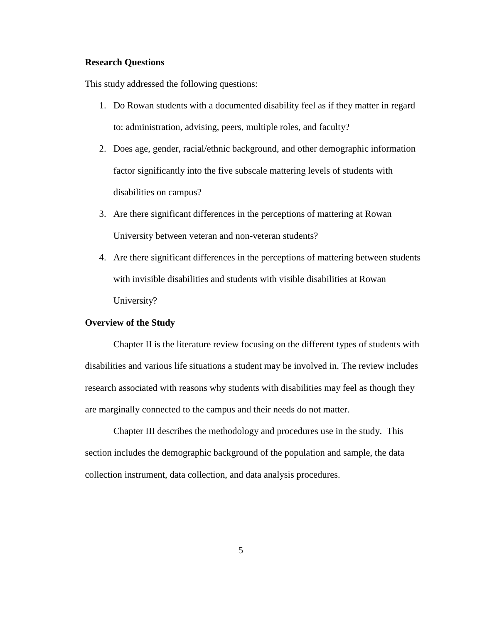## **Research Questions**

This study addressed the following questions:

- 1. Do Rowan students with a documented disability feel as if they matter in regard to: administration, advising, peers, multiple roles, and faculty?
- 2. Does age, gender, racial/ethnic background, and other demographic information factor significantly into the five subscale mattering levels of students with disabilities on campus?
- 3. Are there significant differences in the perceptions of mattering at Rowan University between veteran and non-veteran students?
- 4. Are there significant differences in the perceptions of mattering between students with invisible disabilities and students with visible disabilities at Rowan University?

#### **Overview of the Study**

Chapter II is the literature review focusing on the different types of students with disabilities and various life situations a student may be involved in. The review includes research associated with reasons why students with disabilities may feel as though they are marginally connected to the campus and their needs do not matter.

Chapter III describes the methodology and procedures use in the study. This section includes the demographic background of the population and sample, the data collection instrument, data collection, and data analysis procedures.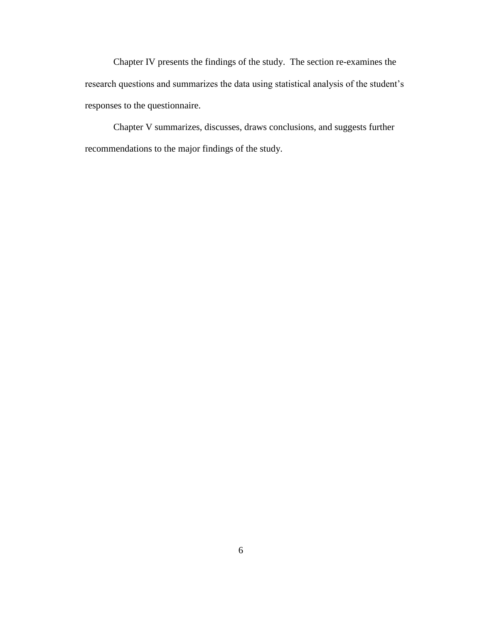Chapter IV presents the findings of the study. The section re-examines the research questions and summarizes the data using statistical analysis of the student's responses to the questionnaire.

Chapter V summarizes, discusses, draws conclusions, and suggests further recommendations to the major findings of the study.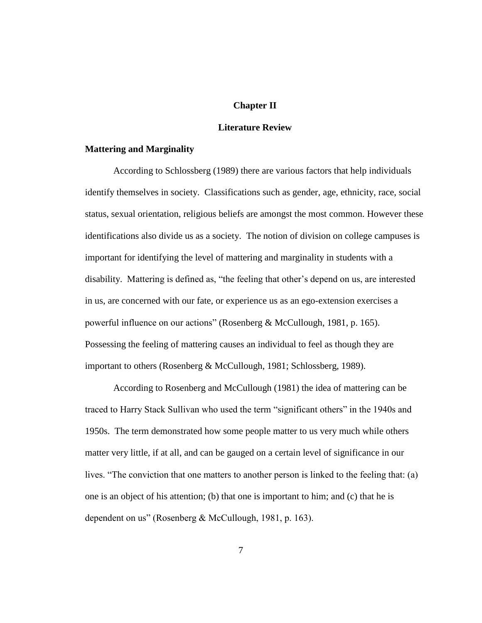## **Chapter II**

#### **Literature Review**

# **Mattering and Marginality**

According to Schlossberg (1989) there are various factors that help individuals identify themselves in society. Classifications such as gender, age, ethnicity, race, social status, sexual orientation, religious beliefs are amongst the most common. However these identifications also divide us as a society. The notion of division on college campuses is important for identifying the level of mattering and marginality in students with a disability. Mattering is defined as, "the feeling that other's depend on us, are interested in us, are concerned with our fate, or experience us as an ego-extension exercises a powerful influence on our actions" (Rosenberg & McCullough, 1981, p. 165). Possessing the feeling of mattering causes an individual to feel as though they are important to others (Rosenberg & McCullough, 1981; Schlossberg, 1989).

According to Rosenberg and McCullough (1981) the idea of mattering can be traced to Harry Stack Sullivan who used the term "significant others" in the 1940s and 1950s. The term demonstrated how some people matter to us very much while others matter very little, if at all, and can be gauged on a certain level of significance in our lives. "The conviction that one matters to another person is linked to the feeling that: (a) one is an object of his attention; (b) that one is important to him; and (c) that he is dependent on us" (Rosenberg & McCullough, 1981, p. 163).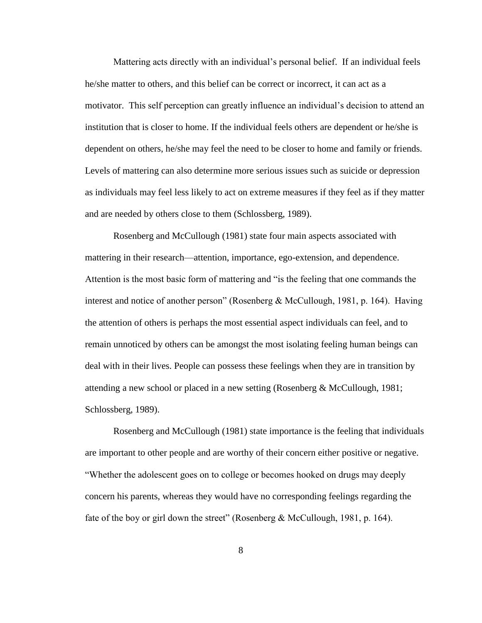Mattering acts directly with an individual's personal belief. If an individual feels he/she matter to others, and this belief can be correct or incorrect, it can act as a motivator. This self perception can greatly influence an individual's decision to attend an institution that is closer to home. If the individual feels others are dependent or he/she is dependent on others, he/she may feel the need to be closer to home and family or friends. Levels of mattering can also determine more serious issues such as suicide or depression as individuals may feel less likely to act on extreme measures if they feel as if they matter and are needed by others close to them (Schlossberg, 1989).

Rosenberg and McCullough (1981) state four main aspects associated with mattering in their research—attention, importance, ego-extension, and dependence. Attention is the most basic form of mattering and "is the feeling that one commands the interest and notice of another person" (Rosenberg & McCullough, 1981, p. 164). Having the attention of others is perhaps the most essential aspect individuals can feel, and to remain unnoticed by others can be amongst the most isolating feeling human beings can deal with in their lives. People can possess these feelings when they are in transition by attending a new school or placed in a new setting (Rosenberg & McCullough, 1981; Schlossberg, 1989).

Rosenberg and McCullough (1981) state importance is the feeling that individuals are important to other people and are worthy of their concern either positive or negative. "Whether the adolescent goes on to college or becomes hooked on drugs may deeply concern his parents, whereas they would have no corresponding feelings regarding the fate of the boy or girl down the street" (Rosenberg & McCullough, 1981, p. 164).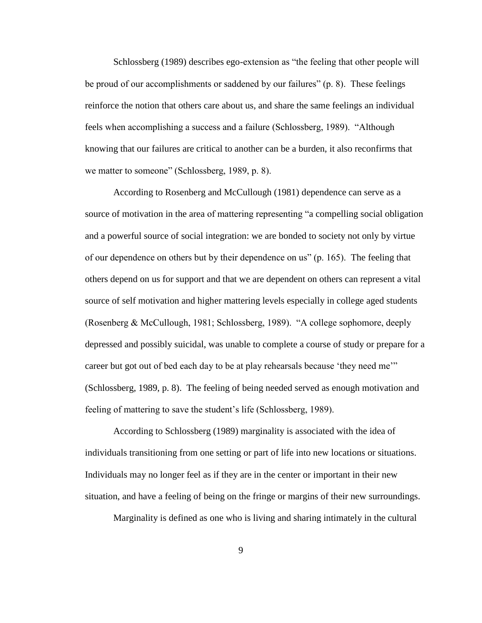Schlossberg (1989) describes ego-extension as "the feeling that other people will be proud of our accomplishments or saddened by our failures" (p. 8). These feelings reinforce the notion that others care about us, and share the same feelings an individual feels when accomplishing a success and a failure (Schlossberg, 1989). "Although knowing that our failures are critical to another can be a burden, it also reconfirms that we matter to someone" (Schlossberg, 1989, p. 8).

According to Rosenberg and McCullough (1981) dependence can serve as a source of motivation in the area of mattering representing "a compelling social obligation and a powerful source of social integration: we are bonded to society not only by virtue of our dependence on others but by their dependence on us" (p. 165). The feeling that others depend on us for support and that we are dependent on others can represent a vital source of self motivation and higher mattering levels especially in college aged students (Rosenberg & McCullough, 1981; Schlossberg, 1989). "A college sophomore, deeply depressed and possibly suicidal, was unable to complete a course of study or prepare for a career but got out of bed each day to be at play rehearsals because 'they need me'" (Schlossberg, 1989, p. 8). The feeling of being needed served as enough motivation and feeling of mattering to save the student's life (Schlossberg, 1989).

According to Schlossberg (1989) marginality is associated with the idea of individuals transitioning from one setting or part of life into new locations or situations. Individuals may no longer feel as if they are in the center or important in their new situation, and have a feeling of being on the fringe or margins of their new surroundings.

Marginality is defined as one who is living and sharing intimately in the cultural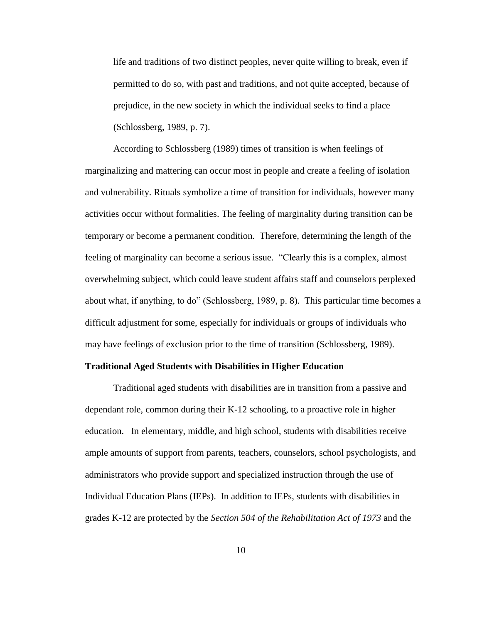life and traditions of two distinct peoples, never quite willing to break, even if permitted to do so, with past and traditions, and not quite accepted, because of prejudice, in the new society in which the individual seeks to find a place (Schlossberg, 1989, p. 7).

According to Schlossberg (1989) times of transition is when feelings of marginalizing and mattering can occur most in people and create a feeling of isolation and vulnerability. Rituals symbolize a time of transition for individuals, however many activities occur without formalities. The feeling of marginality during transition can be temporary or become a permanent condition. Therefore, determining the length of the feeling of marginality can become a serious issue. "Clearly this is a complex, almost overwhelming subject, which could leave student affairs staff and counselors perplexed about what, if anything, to do" (Schlossberg, 1989, p. 8). This particular time becomes a difficult adjustment for some, especially for individuals or groups of individuals who may have feelings of exclusion prior to the time of transition (Schlossberg, 1989).

#### **Traditional Aged Students with Disabilities in Higher Education**

Traditional aged students with disabilities are in transition from a passive and dependant role, common during their K-12 schooling, to a proactive role in higher education. In elementary, middle, and high school, students with disabilities receive ample amounts of support from parents, teachers, counselors, school psychologists, and administrators who provide support and specialized instruction through the use of Individual Education Plans (IEPs). In addition to IEPs, students with disabilities in grades K-12 are protected by the *Section 504 of the Rehabilitation Act of 1973* and the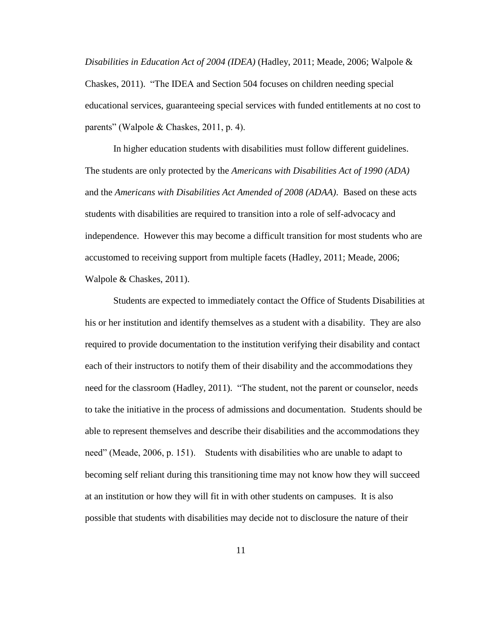*Disabilities in Education Act of 2004 (IDEA)* (Hadley, 2011; Meade, 2006; Walpole & Chaskes, 2011). "The IDEA and Section 504 focuses on children needing special educational services, guaranteeing special services with funded entitlements at no cost to parents" (Walpole & Chaskes, 2011, p. 4).

In higher education students with disabilities must follow different guidelines. The students are only protected by the *Americans with Disabilities Act of 1990 (ADA)*  and the *Americans with Disabilities Act Amended of 2008 (ADAA)*. Based on these acts students with disabilities are required to transition into a role of self-advocacy and independence. However this may become a difficult transition for most students who are accustomed to receiving support from multiple facets (Hadley, 2011; Meade, 2006; Walpole & Chaskes, 2011).

Students are expected to immediately contact the Office of Students Disabilities at his or her institution and identify themselves as a student with a disability. They are also required to provide documentation to the institution verifying their disability and contact each of their instructors to notify them of their disability and the accommodations they need for the classroom (Hadley, 2011). "The student, not the parent or counselor, needs to take the initiative in the process of admissions and documentation. Students should be able to represent themselves and describe their disabilities and the accommodations they need" (Meade, 2006, p. 151). Students with disabilities who are unable to adapt to becoming self reliant during this transitioning time may not know how they will succeed at an institution or how they will fit in with other students on campuses. It is also possible that students with disabilities may decide not to disclosure the nature of their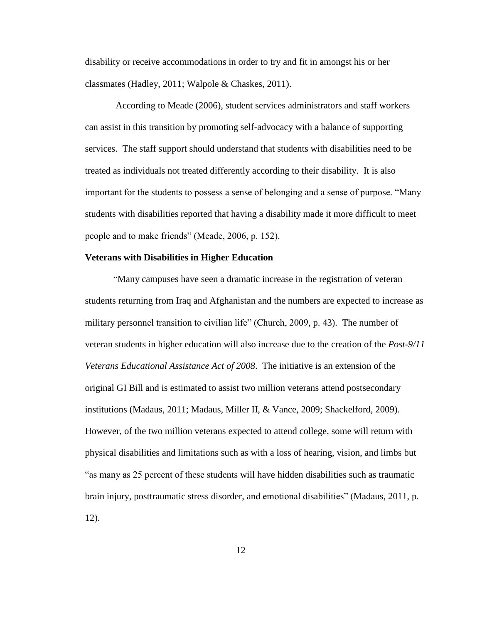disability or receive accommodations in order to try and fit in amongst his or her classmates (Hadley, 2011; Walpole & Chaskes, 2011).

According to Meade (2006), student services administrators and staff workers can assist in this transition by promoting self-advocacy with a balance of supporting services. The staff support should understand that students with disabilities need to be treated as individuals not treated differently according to their disability. It is also important for the students to possess a sense of belonging and a sense of purpose. "Many students with disabilities reported that having a disability made it more difficult to meet people and to make friends" (Meade, 2006, p. 152).

# **Veterans with Disabilities in Higher Education**

"Many campuses have seen a dramatic increase in the registration of veteran students returning from Iraq and Afghanistan and the numbers are expected to increase as military personnel transition to civilian life" (Church, 2009, p. 43). The number of veteran students in higher education will also increase due to the creation of the *Post-9/11 Veterans Educational Assistance Act of 2008*. The initiative is an extension of the original GI Bill and is estimated to assist two million veterans attend postsecondary institutions (Madaus, 2011; Madaus, Miller II, & Vance, 2009; Shackelford, 2009). However, of the two million veterans expected to attend college, some will return with physical disabilities and limitations such as with a loss of hearing, vision, and limbs but "as many as 25 percent of these students will have hidden disabilities such as traumatic brain injury, posttraumatic stress disorder, and emotional disabilities" (Madaus, 2011, p. 12).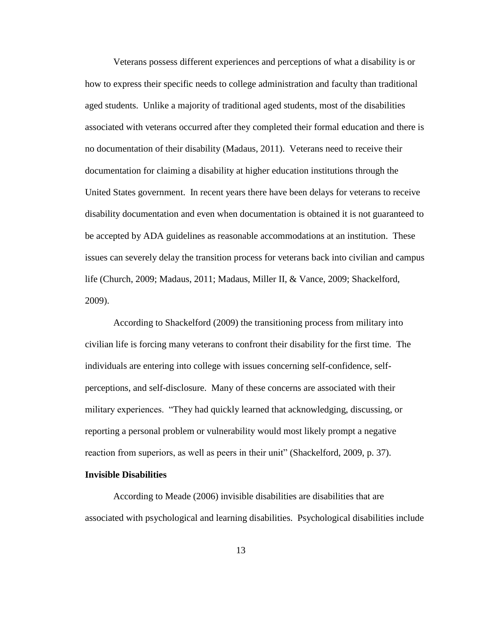Veterans possess different experiences and perceptions of what a disability is or how to express their specific needs to college administration and faculty than traditional aged students. Unlike a majority of traditional aged students, most of the disabilities associated with veterans occurred after they completed their formal education and there is no documentation of their disability (Madaus, 2011). Veterans need to receive their documentation for claiming a disability at higher education institutions through the United States government. In recent years there have been delays for veterans to receive disability documentation and even when documentation is obtained it is not guaranteed to be accepted by ADA guidelines as reasonable accommodations at an institution. These issues can severely delay the transition process for veterans back into civilian and campus life (Church, 2009; Madaus, 2011; Madaus, Miller II, & Vance, 2009; Shackelford, 2009).

According to Shackelford (2009) the transitioning process from military into civilian life is forcing many veterans to confront their disability for the first time. The individuals are entering into college with issues concerning self-confidence, selfperceptions, and self-disclosure. Many of these concerns are associated with their military experiences. "They had quickly learned that acknowledging, discussing, or reporting a personal problem or vulnerability would most likely prompt a negative reaction from superiors, as well as peers in their unit" (Shackelford, 2009, p. 37).

# **Invisible Disabilities**

According to Meade (2006) invisible disabilities are disabilities that are associated with psychological and learning disabilities. Psychological disabilities include

13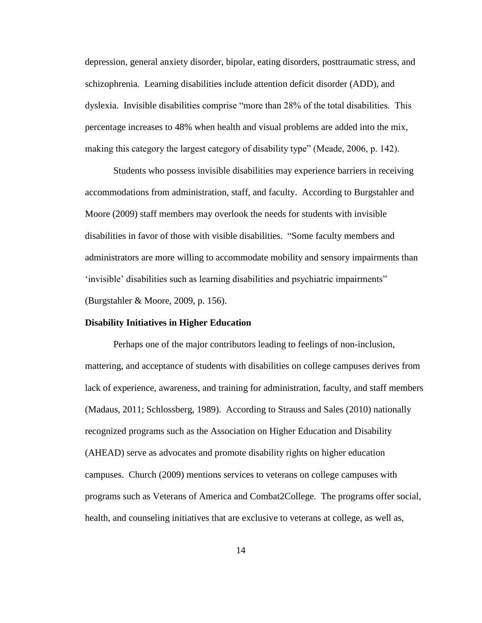depression, general anxiety disorder, bipolar, eating disorders, posttraumatic stress, and schizophrenia. Learning disabilities include attention deficit disorder (ADD), and dyslexia. Invisible disabilities comprise "more than 28% of the total disabilities. This percentage increases to 48% when health and visual problems are added into the mix, making this category the largest category of disability type" (Meade, 2006, p. 142).

Students who possess invisible disabilities may experience barriers in receiving accommodations from administration, staff, and faculty. According to Burgstahler and Moore (2009) staff members may overlook the needs for students with invisible disabilities in favor of those with visible disabilities. "Some faculty members and administrators are more willing to accommodate mobility and sensory impairments than 'invisible' disabilities such as learning disabilities and psychiatric impairments" (Burgstahler & Moore, 2009, p. 156).

#### **Disability Initiatives in Higher Education**

Perhaps one of the major contributors leading to feelings of non-inclusion, mattering, and acceptance of students with disabilities on college campuses derives from lack of experience, awareness, and training for administration, faculty, and staff members (Madaus, 2011; Schlossberg, 1989). According to Strauss and Sales (2010) nationally recognized programs such as the Association on Higher Education and Disability (AHEAD) serve as advocates and promote disability rights on higher education campuses. Church (2009) mentions services to veterans on college campuses with programs such as Veterans of America and Combat2College. The programs offer social, health, and counseling initiatives that are exclusive to veterans at college, as well as,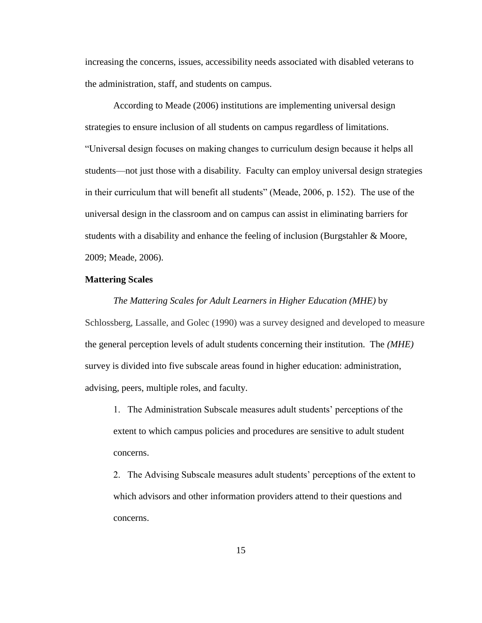increasing the concerns, issues, accessibility needs associated with disabled veterans to the administration, staff, and students on campus.

According to Meade (2006) institutions are implementing universal design strategies to ensure inclusion of all students on campus regardless of limitations. "Universal design focuses on making changes to curriculum design because it helps all students—not just those with a disability. Faculty can employ universal design strategies in their curriculum that will benefit all students" (Meade, 2006, p. 152). The use of the universal design in the classroom and on campus can assist in eliminating barriers for students with a disability and enhance the feeling of inclusion (Burgstahler  $\&$  Moore, 2009; Meade, 2006).

#### **Mattering Scales**

#### *The Mattering Scales for Adult Learners in Higher Education (MHE)* by

Schlossberg, Lassalle, and Golec (1990) was a survey designed and developed to measure the general perception levels of adult students concerning their institution. The *(MHE)* survey is divided into five subscale areas found in higher education: administration, advising, peers, multiple roles, and faculty.

1. The Administration Subscale measures adult students' perceptions of the extent to which campus policies and procedures are sensitive to adult student concerns.

2. The Advising Subscale measures adult students' perceptions of the extent to which advisors and other information providers attend to their questions and concerns.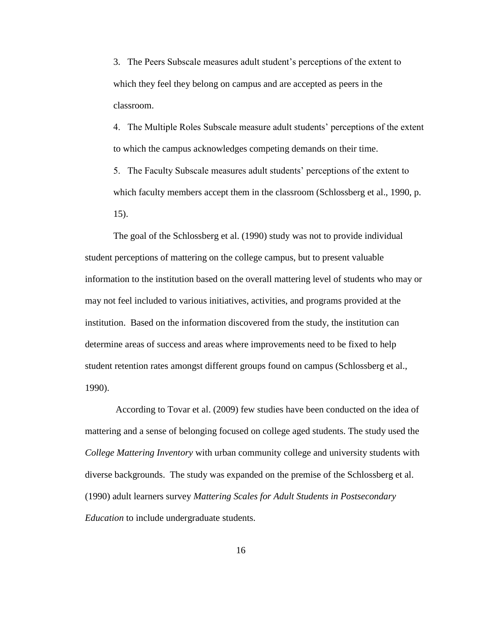3. The Peers Subscale measures adult student's perceptions of the extent to which they feel they belong on campus and are accepted as peers in the classroom.

4. The Multiple Roles Subscale measure adult students' perceptions of the extent to which the campus acknowledges competing demands on their time.

5. The Faculty Subscale measures adult students' perceptions of the extent to which faculty members accept them in the classroom (Schlossberg et al., 1990, p. 15).

The goal of the Schlossberg et al. (1990) study was not to provide individual student perceptions of mattering on the college campus, but to present valuable information to the institution based on the overall mattering level of students who may or may not feel included to various initiatives, activities, and programs provided at the institution. Based on the information discovered from the study, the institution can determine areas of success and areas where improvements need to be fixed to help student retention rates amongst different groups found on campus (Schlossberg et al., 1990).

According to Tovar et al. (2009) few studies have been conducted on the idea of mattering and a sense of belonging focused on college aged students. The study used the *College Mattering Inventory* with urban community college and university students with diverse backgrounds. The study was expanded on the premise of the Schlossberg et al. (1990) adult learners survey *Mattering Scales for Adult Students in Postsecondary Education* to include undergraduate students.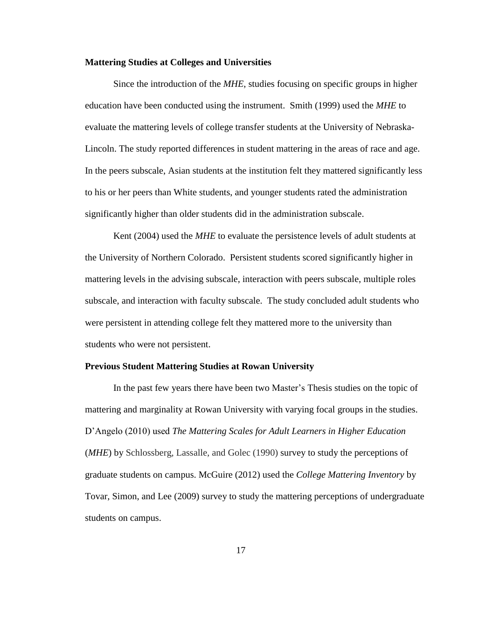### **Mattering Studies at Colleges and Universities**

Since the introduction of the *MHE*, studies focusing on specific groups in higher education have been conducted using the instrument. Smith (1999) used the *MHE* to evaluate the mattering levels of college transfer students at the University of Nebraska-Lincoln. The study reported differences in student mattering in the areas of race and age. In the peers subscale, Asian students at the institution felt they mattered significantly less to his or her peers than White students, and younger students rated the administration significantly higher than older students did in the administration subscale.

Kent (2004) used the *MHE* to evaluate the persistence levels of adult students at the University of Northern Colorado. Persistent students scored significantly higher in mattering levels in the advising subscale, interaction with peers subscale, multiple roles subscale, and interaction with faculty subscale. The study concluded adult students who were persistent in attending college felt they mattered more to the university than students who were not persistent.

#### **Previous Student Mattering Studies at Rowan University**

In the past few years there have been two Master's Thesis studies on the topic of mattering and marginality at Rowan University with varying focal groups in the studies. D'Angelo (2010) used *The Mattering Scales for Adult Learners in Higher Education*  (*MHE*) by Schlossberg, Lassalle, and Golec (1990) survey to study the perceptions of graduate students on campus. McGuire (2012) used the *College Mattering Inventory* by Tovar, Simon, and Lee (2009) survey to study the mattering perceptions of undergraduate students on campus.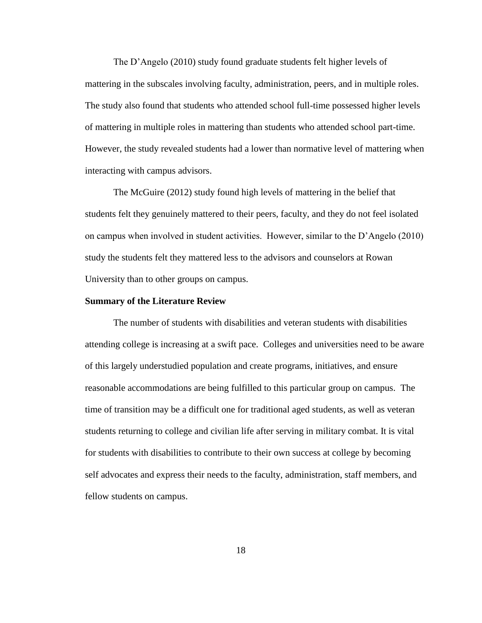The D'Angelo (2010) study found graduate students felt higher levels of mattering in the subscales involving faculty, administration, peers, and in multiple roles. The study also found that students who attended school full-time possessed higher levels of mattering in multiple roles in mattering than students who attended school part-time. However, the study revealed students had a lower than normative level of mattering when interacting with campus advisors.

The McGuire (2012) study found high levels of mattering in the belief that students felt they genuinely mattered to their peers, faculty, and they do not feel isolated on campus when involved in student activities. However, similar to the D'Angelo (2010) study the students felt they mattered less to the advisors and counselors at Rowan University than to other groups on campus.

#### **Summary of the Literature Review**

The number of students with disabilities and veteran students with disabilities attending college is increasing at a swift pace. Colleges and universities need to be aware of this largely understudied population and create programs, initiatives, and ensure reasonable accommodations are being fulfilled to this particular group on campus. The time of transition may be a difficult one for traditional aged students, as well as veteran students returning to college and civilian life after serving in military combat. It is vital for students with disabilities to contribute to their own success at college by becoming self advocates and express their needs to the faculty, administration, staff members, and fellow students on campus.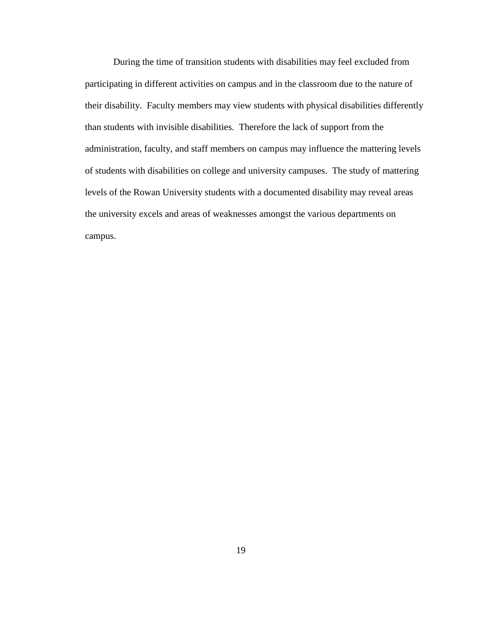During the time of transition students with disabilities may feel excluded from participating in different activities on campus and in the classroom due to the nature of their disability. Faculty members may view students with physical disabilities differently than students with invisible disabilities. Therefore the lack of support from the administration, faculty, and staff members on campus may influence the mattering levels of students with disabilities on college and university campuses. The study of mattering levels of the Rowan University students with a documented disability may reveal areas the university excels and areas of weaknesses amongst the various departments on campus.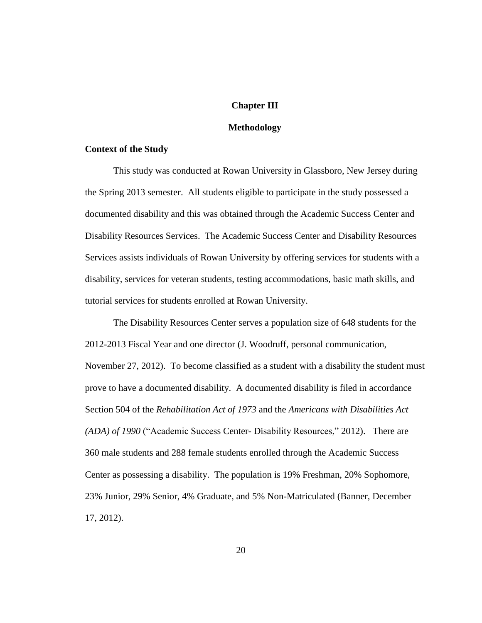# **Chapter III**

#### **Methodology**

# **Context of the Study**

This study was conducted at Rowan University in Glassboro, New Jersey during the Spring 2013 semester. All students eligible to participate in the study possessed a documented disability and this was obtained through the Academic Success Center and Disability Resources Services. The Academic Success Center and Disability Resources Services assists individuals of Rowan University by offering services for students with a disability, services for veteran students, testing accommodations, basic math skills, and tutorial services for students enrolled at Rowan University.

The Disability Resources Center serves a population size of 648 students for the 2012-2013 Fiscal Year and one director (J. Woodruff, personal communication, November 27, 2012). To become classified as a student with a disability the student must prove to have a documented disability. A documented disability is filed in accordance Section 504 of the *Rehabilitation Act of 1973* and the *Americans with Disabilities Act (ADA) of 1990* ("Academic Success Center- Disability Resources," 2012). There are 360 male students and 288 female students enrolled through the Academic Success Center as possessing a disability. The population is 19% Freshman, 20% Sophomore, 23% Junior, 29% Senior, 4% Graduate, and 5% Non-Matriculated (Banner, December 17, 2012).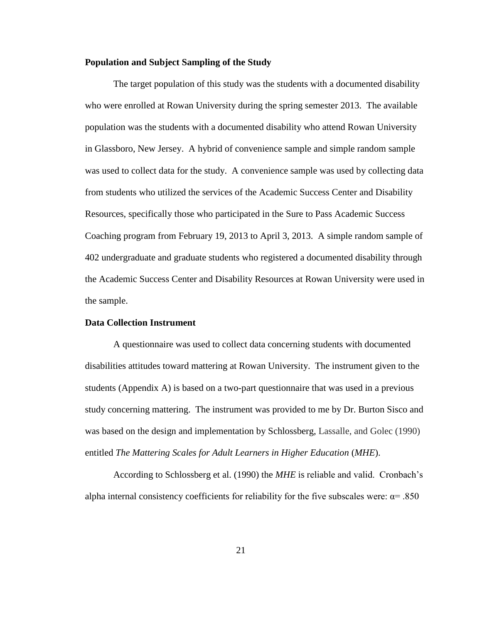# **Population and Subject Sampling of the Study**

The target population of this study was the students with a documented disability who were enrolled at Rowan University during the spring semester 2013. The available population was the students with a documented disability who attend Rowan University in Glassboro, New Jersey. A hybrid of convenience sample and simple random sample was used to collect data for the study. A convenience sample was used by collecting data from students who utilized the services of the Academic Success Center and Disability Resources, specifically those who participated in the Sure to Pass Academic Success Coaching program from February 19, 2013 to April 3, 2013. A simple random sample of 402 undergraduate and graduate students who registered a documented disability through the Academic Success Center and Disability Resources at Rowan University were used in the sample.

# **Data Collection Instrument**

A questionnaire was used to collect data concerning students with documented disabilities attitudes toward mattering at Rowan University. The instrument given to the students (Appendix A) is based on a two-part questionnaire that was used in a previous study concerning mattering. The instrument was provided to me by Dr. Burton Sisco and was based on the design and implementation by Schlossberg, Lassalle, and Golec (1990) entitled *The Mattering Scales for Adult Learners in Higher Education* (*MHE*).

According to Schlossberg et al. (1990) the *MHE* is reliable and valid. Cronbach's alpha internal consistency coefficients for reliability for the five subscales were:  $\alpha$ = .850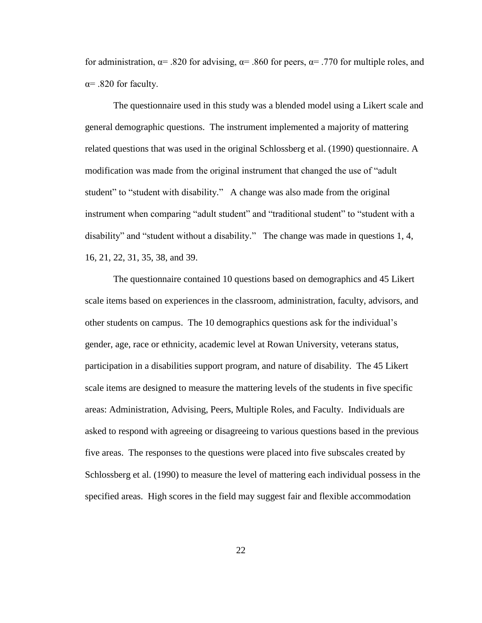for administration,  $\alpha$ = .820 for advising,  $\alpha$ = .860 for peers,  $\alpha$ = .770 for multiple roles, and  $\alpha$ = .820 for faculty.

The questionnaire used in this study was a blended model using a Likert scale and general demographic questions. The instrument implemented a majority of mattering related questions that was used in the original Schlossberg et al. (1990) questionnaire. A modification was made from the original instrument that changed the use of "adult student" to "student with disability." A change was also made from the original instrument when comparing "adult student" and "traditional student" to "student with a disability" and "student without a disability." The change was made in questions 1, 4, 16, 21, 22, 31, 35, 38, and 39.

The questionnaire contained 10 questions based on demographics and 45 Likert scale items based on experiences in the classroom, administration, faculty, advisors, and other students on campus. The 10 demographics questions ask for the individual's gender, age, race or ethnicity, academic level at Rowan University, veterans status, participation in a disabilities support program, and nature of disability. The 45 Likert scale items are designed to measure the mattering levels of the students in five specific areas: Administration, Advising, Peers, Multiple Roles, and Faculty. Individuals are asked to respond with agreeing or disagreeing to various questions based in the previous five areas. The responses to the questions were placed into five subscales created by Schlossberg et al. (1990) to measure the level of mattering each individual possess in the specified areas. High scores in the field may suggest fair and flexible accommodation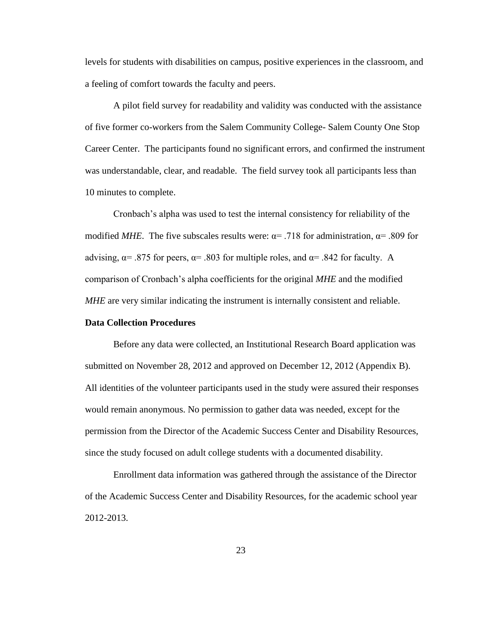levels for students with disabilities on campus, positive experiences in the classroom, and a feeling of comfort towards the faculty and peers.

A pilot field survey for readability and validity was conducted with the assistance of five former co-workers from the Salem Community College- Salem County One Stop Career Center. The participants found no significant errors, and confirmed the instrument was understandable, clear, and readable. The field survey took all participants less than 10 minutes to complete.

Cronbach's alpha was used to test the internal consistency for reliability of the modified *MHE*. The five subscales results were:  $\alpha$  = .718 for administration,  $\alpha$  = .809 for advising,  $\alpha$  = .875 for peers,  $\alpha$  = .803 for multiple roles, and  $\alpha$  = .842 for faculty. A comparison of Cronbach's alpha coefficients for the original *MHE* and the modified *MHE* are very similar indicating the instrument is internally consistent and reliable.

#### **Data Collection Procedures**

Before any data were collected, an Institutional Research Board application was submitted on November 28, 2012 and approved on December 12, 2012 (Appendix B). All identities of the volunteer participants used in the study were assured their responses would remain anonymous. No permission to gather data was needed, except for the permission from the Director of the Academic Success Center and Disability Resources, since the study focused on adult college students with a documented disability.

Enrollment data information was gathered through the assistance of the Director of the Academic Success Center and Disability Resources, for the academic school year 2012-2013.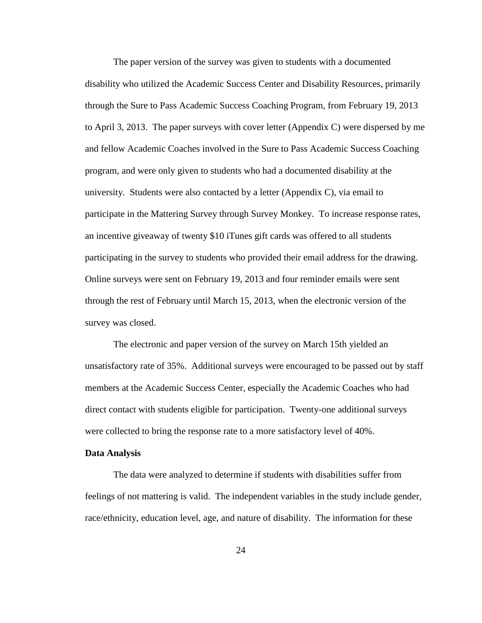The paper version of the survey was given to students with a documented disability who utilized the Academic Success Center and Disability Resources, primarily through the Sure to Pass Academic Success Coaching Program, from February 19, 2013 to April 3, 2013. The paper surveys with cover letter (Appendix C) were dispersed by me and fellow Academic Coaches involved in the Sure to Pass Academic Success Coaching program, and were only given to students who had a documented disability at the university. Students were also contacted by a letter (Appendix C), via email to participate in the Mattering Survey through Survey Monkey. To increase response rates, an incentive giveaway of twenty \$10 iTunes gift cards was offered to all students participating in the survey to students who provided their email address for the drawing. Online surveys were sent on February 19, 2013 and four reminder emails were sent through the rest of February until March 15, 2013, when the electronic version of the survey was closed.

The electronic and paper version of the survey on March 15th yielded an unsatisfactory rate of 35%. Additional surveys were encouraged to be passed out by staff members at the Academic Success Center, especially the Academic Coaches who had direct contact with students eligible for participation. Twenty-one additional surveys were collected to bring the response rate to a more satisfactory level of 40%.

#### **Data Analysis**

The data were analyzed to determine if students with disabilities suffer from feelings of not mattering is valid. The independent variables in the study include gender, race/ethnicity, education level, age, and nature of disability. The information for these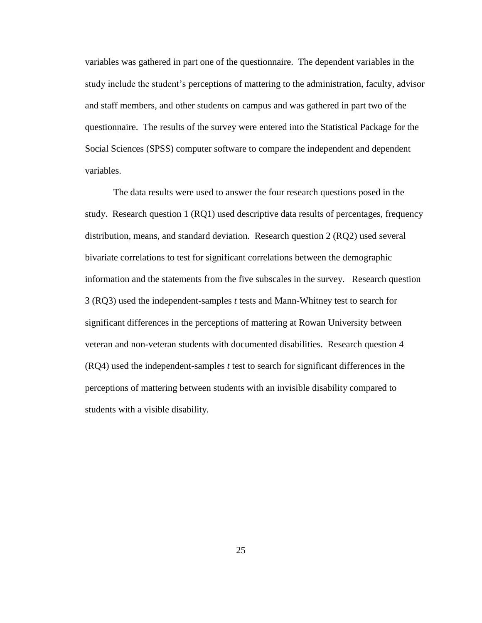variables was gathered in part one of the questionnaire. The dependent variables in the study include the student's perceptions of mattering to the administration, faculty, advisor and staff members, and other students on campus and was gathered in part two of the questionnaire. The results of the survey were entered into the Statistical Package for the Social Sciences (SPSS) computer software to compare the independent and dependent variables.

The data results were used to answer the four research questions posed in the study. Research question 1 (RQ1) used descriptive data results of percentages, frequency distribution, means, and standard deviation. Research question 2 (RQ2) used several bivariate correlations to test for significant correlations between the demographic information and the statements from the five subscales in the survey. Research question 3 (RQ3) used the independent-samples *t* tests and Mann-Whitney test to search for significant differences in the perceptions of mattering at Rowan University between veteran and non-veteran students with documented disabilities. Research question 4 (RQ4) used the independent-samples *t* test to search for significant differences in the perceptions of mattering between students with an invisible disability compared to students with a visible disability.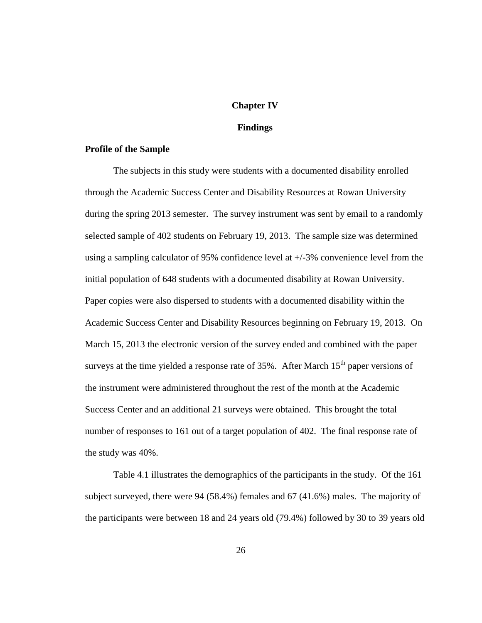#### **Chapter IV**

# **Findings**

## **Profile of the Sample**

The subjects in this study were students with a documented disability enrolled through the Academic Success Center and Disability Resources at Rowan University during the spring 2013 semester. The survey instrument was sent by email to a randomly selected sample of 402 students on February 19, 2013. The sample size was determined using a sampling calculator of 95% confidence level at +/-3% convenience level from the initial population of 648 students with a documented disability at Rowan University. Paper copies were also dispersed to students with a documented disability within the Academic Success Center and Disability Resources beginning on February 19, 2013. On March 15, 2013 the electronic version of the survey ended and combined with the paper surveys at the time yielded a response rate of  $35\%$ . After March  $15<sup>th</sup>$  paper versions of the instrument were administered throughout the rest of the month at the Academic Success Center and an additional 21 surveys were obtained. This brought the total number of responses to 161 out of a target population of 402. The final response rate of the study was 40%.

Table 4.1 illustrates the demographics of the participants in the study. Of the 161 subject surveyed, there were 94 (58.4%) females and 67 (41.6%) males. The majority of the participants were between 18 and 24 years old (79.4%) followed by 30 to 39 years old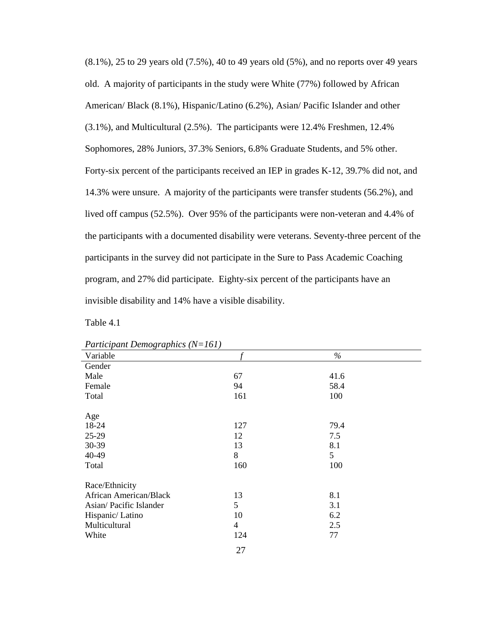(8.1%), 25 to 29 years old (7.5%), 40 to 49 years old (5%), and no reports over 49 years old. A majority of participants in the study were White (77%) followed by African American/ Black (8.1%), Hispanic/Latino (6.2%), Asian/ Pacific Islander and other (3.1%), and Multicultural (2.5%). The participants were 12.4% Freshmen, 12.4% Sophomores, 28% Juniors, 37.3% Seniors, 6.8% Graduate Students, and 5% other. Forty-six percent of the participants received an IEP in grades K-12, 39.7% did not, and 14.3% were unsure. A majority of the participants were transfer students (56.2%), and lived off campus (52.5%). Over 95% of the participants were non-veteran and 4.4% of the participants with a documented disability were veterans. Seventy-three percent of the participants in the survey did not participate in the Sure to Pass Academic Coaching program, and 27% did participate. Eighty-six percent of the participants have an invisible disability and 14% have a visible disability.

| $I$ and up and Demographics $(V-101)$ |     |      |  |
|---------------------------------------|-----|------|--|
| Variable                              |     | $\%$ |  |
| Gender                                |     |      |  |
| Male                                  | 67  | 41.6 |  |
| Female                                | 94  | 58.4 |  |
| Total                                 | 161 | 100  |  |
| Age                                   |     |      |  |
| 18-24                                 | 127 | 79.4 |  |
| 25-29                                 | 12  | 7.5  |  |
| 30-39                                 | 13  | 8.1  |  |
| 40-49                                 | 8   | 5    |  |
| Total                                 | 160 | 100  |  |
| Race/Ethnicity                        |     |      |  |
| African American/Black                | 13  | 8.1  |  |
| Asian/Pacific Islander                | 5   | 3.1  |  |
| Hispanic/Latino                       | 10  | 6.2  |  |
| Multicultural                         | 4   | 2.5  |  |
| White                                 | 124 | 77   |  |
|                                       |     |      |  |

| Participant Demographics $(N=161)$ |  |
|------------------------------------|--|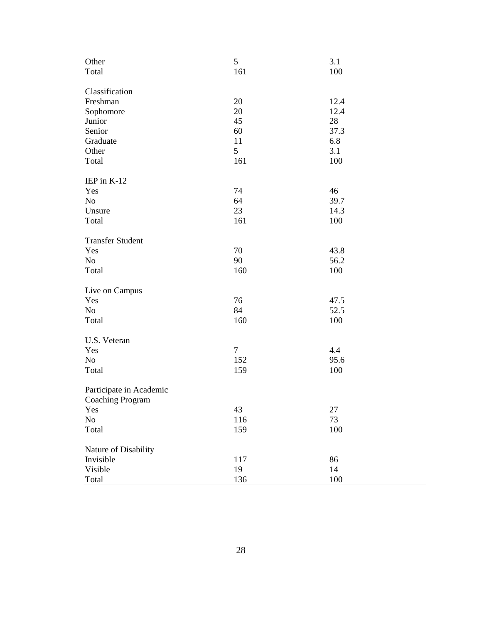| Other                   | 5      | 3.1  |
|-------------------------|--------|------|
| Total                   | 161    | 100  |
|                         |        |      |
| Classification          |        |      |
| Freshman                | 20     | 12.4 |
| Sophomore               | 20     | 12.4 |
| Junior                  | 45     | 28   |
| Senior                  | 60     | 37.3 |
| Graduate                | 11     | 6.8  |
| Other                   | 5      | 3.1  |
| Total                   | 161    | 100  |
| IEP in K-12             |        |      |
| Yes                     | 74     | 46   |
| No                      | 64     | 39.7 |
| Unsure                  | 23     | 14.3 |
|                         |        |      |
| Total                   | 161    | 100  |
| <b>Transfer Student</b> |        |      |
| Yes                     | 70     | 43.8 |
| No                      | 90     | 56.2 |
| Total                   | 160    | 100  |
| Live on Campus          |        |      |
| Yes                     | 76     | 47.5 |
| No                      | 84     | 52.5 |
| Total                   | 160    | 100  |
|                         |        |      |
| U.S. Veteran            |        |      |
| Yes                     | $\tau$ | 4.4  |
| No                      | 152    | 95.6 |
| Total                   | 159    | 100  |
| Participate in Academic |        |      |
| <b>Coaching Program</b> |        |      |
| Yes                     | 43     | 27   |
| N <sub>o</sub>          | 116    | 73   |
| Total                   | 159    | 100  |
|                         |        |      |
| Nature of Disability    |        |      |
| Invisible               | 117    | 86   |
| Visible                 | 19     | 14   |
| Total                   | 136    | 100  |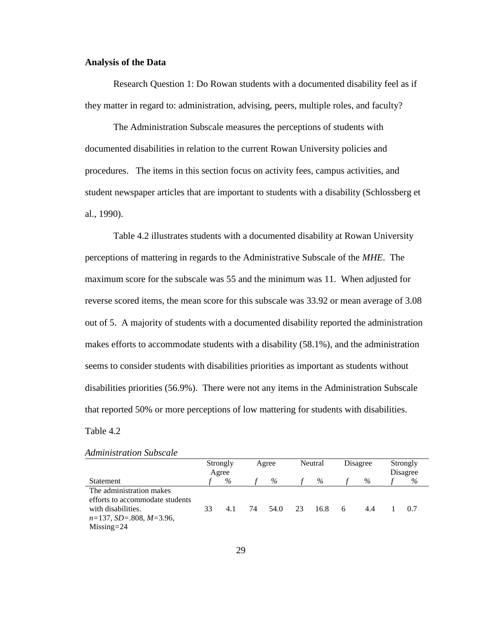#### **Analysis of the Data**

Research Question 1: Do Rowan students with a documented disability feel as if they matter in regard to: administration, advising, peers, multiple roles, and faculty?

The Administration Subscale measures the perceptions of students with documented disabilities in relation to the current Rowan University policies and procedures. The items in this section focus on activity fees, campus activities, and student newspaper articles that are important to students with a disability (Schlossberg et al., 1990).

Table 4.2 illustrates students with a documented disability at Rowan University perceptions of mattering in regards to the Administrative Subscale of the *MHE*. The maximum score for the subscale was 55 and the minimum was 11. When adjusted for reverse scored items, the mean score for this subscale was 33.92 or mean average of 3.08 out of 5. A majority of students with a documented disability reported the administration makes efforts to accommodate students with a disability (58.1%), and the administration seems to consider students with disabilities priorities as important as students without disabilities priorities (56.9%). There were not any items in the Administration Subscale that reported 50% or more perceptions of low mattering for students with disabilities.

#### Table 4.2

|                                 | Strongly |      |    | Agree |    | Neutral |   | Disagree |          | Strongly |  |
|---------------------------------|----------|------|----|-------|----|---------|---|----------|----------|----------|--|
|                                 | Agree    |      |    |       |    |         |   |          | Disagree |          |  |
| Statement                       |          | $\%$ |    | $\%$  |    | $\%$    |   | %        |          | %        |  |
| The administration makes        |          |      |    |       |    |         |   |          |          |          |  |
| efforts to accommodate students |          |      |    |       |    |         |   |          |          |          |  |
| with disabilities.              | 33       | 4.1  | 74 | 54.0  | 23 | 16.8    | 6 | 4.4      |          | 07       |  |
| $n=137$ , SD=.808, M=3.96,      |          |      |    |       |    |         |   |          |          |          |  |
| $Missing = 24$                  |          |      |    |       |    |         |   |          |          |          |  |

#### *Administration Subscale*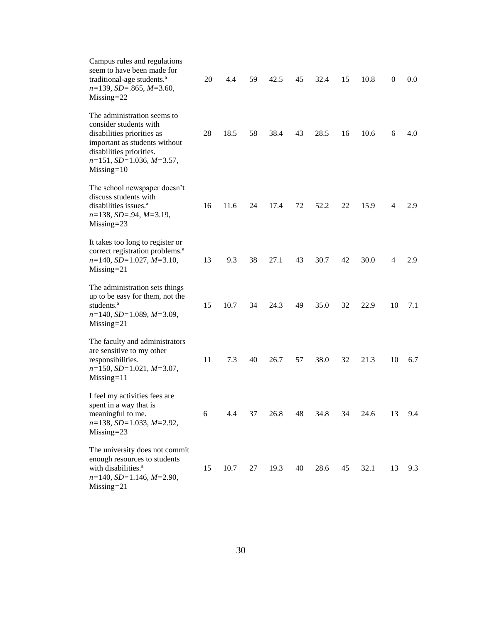| Campus rules and regulations<br>seem to have been made for<br>traditional-age students. <sup>a</sup><br>$n=139$ , $SD=.865$ , $M=3.60$ ,<br>$Missing = 22$                                        | 20 | 4.4  | 59 | 42.5 | 45 | 32.4 | 15 | 10.8 | $\boldsymbol{0}$ | 0.0 |
|---------------------------------------------------------------------------------------------------------------------------------------------------------------------------------------------------|----|------|----|------|----|------|----|------|------------------|-----|
| The administration seems to<br>consider students with<br>disabilities priorities as<br>important as students without<br>disabilities priorities.<br>$n=151$ , SD=1.036, M=3.57,<br>$Missing = 10$ | 28 | 18.5 | 58 | 38.4 | 43 | 28.5 | 16 | 10.6 | 6                | 4.0 |
| The school newspaper doesn't<br>discuss students with<br>disabilities issues. <sup>a</sup><br>$n=138$ , $SD=.94$ , $M=3.19$ ,<br>$Missing = 23$                                                   | 16 | 11.6 | 24 | 17.4 | 72 | 52.2 | 22 | 15.9 | 4                | 2.9 |
| It takes too long to register or<br>correct registration problems. <sup>a</sup><br>$n=140$ , $SD=1.027$ , $M=3.10$ ,<br>$Missing = 21$                                                            | 13 | 9.3  | 38 | 27.1 | 43 | 30.7 | 42 | 30.0 | 4                | 2.9 |
| The administration sets things<br>up to be easy for them, not the<br>students. <sup>a</sup><br>$n=140$ , $SD=1.089$ , $M=3.09$ ,<br>$Missing = 21$                                                | 15 | 10.7 | 34 | 24.3 | 49 | 35.0 | 32 | 22.9 | 10               | 7.1 |
| The faculty and administrators<br>are sensitive to my other<br>responsibilities.<br>$n=150$ , $SD=1.021$ , $M=3.07$ ,<br>$Missing = 11$                                                           | 11 | 7.3  | 40 | 26.7 | 57 | 38.0 | 32 | 21.3 | 10               | 6.7 |
| I feel my activities fees are<br>spent in a way that is<br>meaningful to me.<br>$n=138$ , SD=1.033, M=2.92,<br>$Missing = 23$                                                                     | 6  | 4.4  | 37 | 26.8 | 48 | 34.8 | 34 | 24.6 | 13               | 9.4 |
| The university does not commit<br>enough resources to students<br>with disabilities. <sup>a</sup><br>$n=140$ , $SD=1.146$ , $M=2.90$ ,<br>$Missing = 21$                                          | 15 | 10.7 | 27 | 19.3 | 40 | 28.6 | 45 | 32.1 | 13               | 9.3 |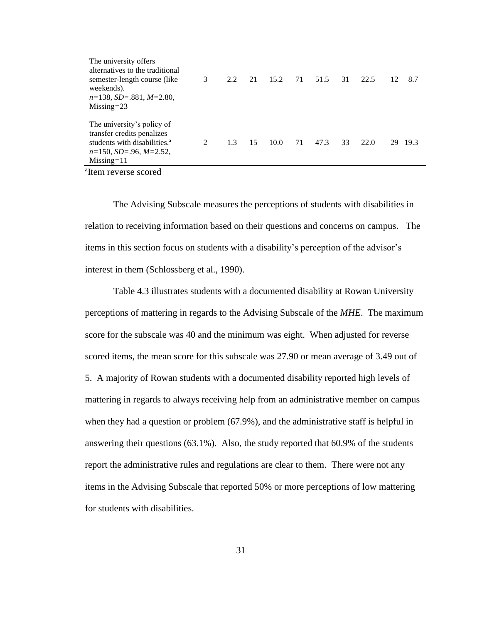| The university offers<br>alternatives to the traditional<br>semester-length course (like)<br>weekends).<br>$n=138$ , SD=.881, M=2.80,<br>$Missing = 23$   | 3              | 2.2 | 21 | 15.2 | 71 | 51.5 | 31 | 22.5 | 12 | 8.7  |
|-----------------------------------------------------------------------------------------------------------------------------------------------------------|----------------|-----|----|------|----|------|----|------|----|------|
| The university's policy of<br>transfer credits penalizes<br>students with disabilities. <sup>a</sup><br>$n=150$ , $SD=.96$ , $M=2.52$ ,<br>$Missing = 11$ | $\mathfrak{D}$ | 1.3 | 15 | 10.0 | 71 | 47.3 | 33 | 22.0 | 29 | 19.3 |

ªItem reverse scored

The Advising Subscale measures the perceptions of students with disabilities in relation to receiving information based on their questions and concerns on campus. The items in this section focus on students with a disability's perception of the advisor's interest in them (Schlossberg et al., 1990).

Table 4.3 illustrates students with a documented disability at Rowan University perceptions of mattering in regards to the Advising Subscale of the *MHE*. The maximum score for the subscale was 40 and the minimum was eight. When adjusted for reverse scored items, the mean score for this subscale was 27.90 or mean average of 3.49 out of 5. A majority of Rowan students with a documented disability reported high levels of mattering in regards to always receiving help from an administrative member on campus when they had a question or problem (67.9%), and the administrative staff is helpful in answering their questions (63.1%). Also, the study reported that 60.9% of the students report the administrative rules and regulations are clear to them. There were not any items in the Advising Subscale that reported 50% or more perceptions of low mattering for students with disabilities.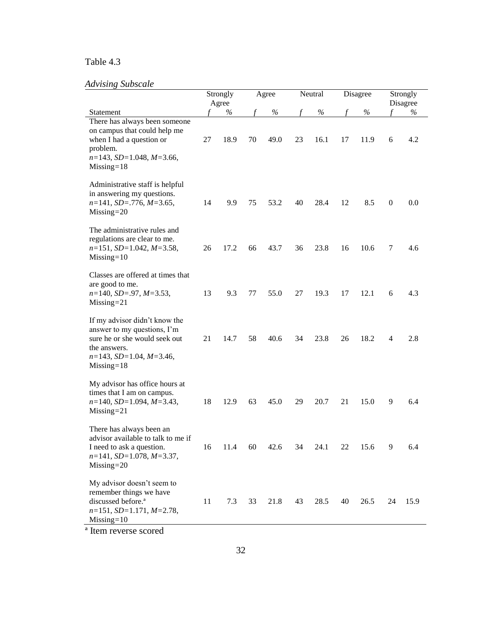### Table 4.3

## *Advising Subscale*

| ruvising subscuit                                                                                                                                                   | Strongly<br>Agree |      | Agree |      | Neutral |      | Disagree |      | Strongly<br>Disagree |      |
|---------------------------------------------------------------------------------------------------------------------------------------------------------------------|-------------------|------|-------|------|---------|------|----------|------|----------------------|------|
| Statement                                                                                                                                                           |                   | $\%$ |       | $\%$ |         | $\%$ |          | $\%$ | f                    | $\%$ |
| There has always been someone<br>on campus that could help me<br>when I had a question or<br>problem.<br>$n=143$ , $SD=1.048$ , $M=3.66$ ,<br>$Missing = 18$        | 27                | 18.9 | 70    | 49.0 | 23      | 16.1 | 17       | 11.9 | 6                    | 4.2  |
| Administrative staff is helpful<br>in answering my questions.<br>$n=141$ , SD=.776, M=3.65,<br>$Missing = 20$                                                       | 14                | 9.9  | 75    | 53.2 | 40      | 28.4 | 12       | 8.5  | $\boldsymbol{0}$     | 0.0  |
| The administrative rules and<br>regulations are clear to me.<br>$n=151$ , SD=1.042, M=3.58,<br>$Missing = 10$                                                       | 26                | 17.2 | 66    | 43.7 | 36      | 23.8 | 16       | 10.6 | 7                    | 4.6  |
| Classes are offered at times that<br>are good to me.<br>$n=140$ , $SD=.97$ , $M=3.53$ ,<br>$Missing = 21$                                                           | 13                | 9.3  | 77    | 55.0 | 27      | 19.3 | 17       | 12.1 | 6                    | 4.3  |
| If my advisor didn't know the<br>answer to my questions, I'm<br>sure he or she would seek out<br>the answers.<br>$n=143$ , $SD=1.04$ , $M=3.46$ ,<br>$Missing = 18$ | 21                | 14.7 | 58    | 40.6 | 34      | 23.8 | 26       | 18.2 | 4                    | 2.8  |
| My advisor has office hours at<br>times that I am on campus.<br>$n=140$ , $SD=1.094$ , $M=3.43$ ,<br>$Missing = 21$                                                 | 18                | 12.9 | 63    | 45.0 | 29      | 20.7 | 21       | 15.0 | 9                    | 6.4  |
| There has always been an<br>advisor available to talk to me if<br>I need to ask a question.<br>$n=141$ , SD=1.078, M=3.37,<br>$Missing = 20$                        | 16                | 11.4 | 60    | 42.6 | 34      | 24.1 | 22       | 15.6 | 9                    | 6.4  |
| My advisor doesn't seem to<br>remember things we have<br>discussed before. <sup>a</sup><br>$n=151$ , $SD=1.171$ , $M=2.78$ ,<br>$Missing = 10$                      | 11                | 7.3  | 33    | 21.8 | 43      | 28.5 | 40       | 26.5 | 24                   | 15.9 |

ª Item reverse scored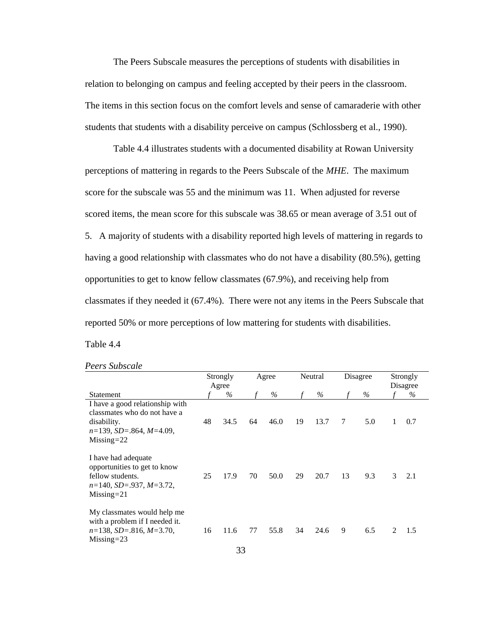The Peers Subscale measures the perceptions of students with disabilities in relation to belonging on campus and feeling accepted by their peers in the classroom. The items in this section focus on the comfort levels and sense of camaraderie with other students that students with a disability perceive on campus (Schlossberg et al., 1990).

Table 4.4 illustrates students with a documented disability at Rowan University perceptions of mattering in regards to the Peers Subscale of the *MHE*. The maximum score for the subscale was 55 and the minimum was 11. When adjusted for reverse scored items, the mean score for this subscale was 38.65 or mean average of 3.51 out of 5. A majority of students with a disability reported high levels of mattering in regards to having a good relationship with classmates who do not have a disability (80.5%), getting opportunities to get to know fellow classmates (67.9%), and receiving help from classmates if they needed it (67.4%). There were not any items in the Peers Subscale that reported 50% or more perceptions of low mattering for students with disabilities. Table 4.4

|                                                                                                                                      |    | Strongly<br>Agree | Agree |      | Neutral |      | Disagree |      | Strongly<br>Disagree        |     |
|--------------------------------------------------------------------------------------------------------------------------------------|----|-------------------|-------|------|---------|------|----------|------|-----------------------------|-----|
| Statement                                                                                                                            |    | %                 |       | %    |         | $\%$ |          | $\%$ |                             | %   |
| I have a good relationship with<br>classmates who do not have a<br>disability.<br>$n=139$ , $SD=.864$ , $M=4.09$ ,<br>$Missing = 22$ | 48 | 34.5              | 64    | 46.0 | 19      | 13.7 | 7        | 5.0  | 1                           | 0.7 |
| I have had adequate<br>opportunities to get to know<br>fellow students.<br>$n=140$ , SD=.937, M=3.72,<br>$Missing = 21$              | 25 | 17.9              | 70    | 50.0 | 29      | 20.7 | 13       | 9.3  | 3                           | 2.1 |
| My classmates would help me<br>with a problem if I needed it.<br>$n=138$ , $SD=.816$ , $M=3.70$ ,<br>$Missing = 23$                  | 16 | 11.6              | 77    | 55.8 | 34      | 24.6 | 9        | 6.5  | $\mathcal{D}_{\mathcal{L}}$ | 1.5 |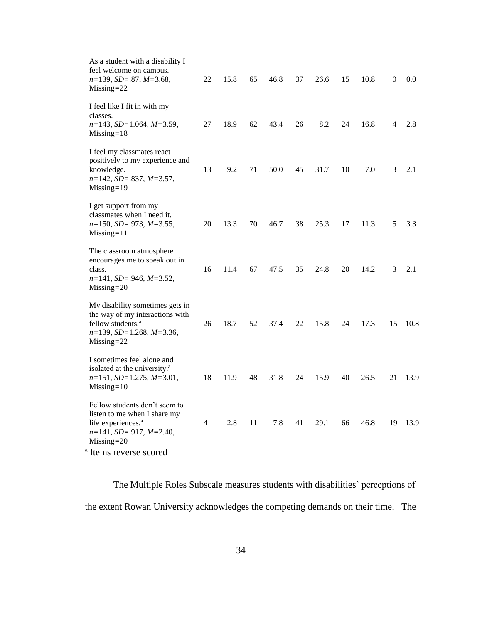| As a student with a disability I<br>feel welcome on campus.<br>$n=139$ , $SD=.87$ , $M=3.68$ ,<br>$Missing = 22$                                           | 22 | 15.8 | 65 | 46.8 | 37 | 26.6 | 15 | 10.8 | $\boldsymbol{0}$ | 0.0  |
|------------------------------------------------------------------------------------------------------------------------------------------------------------|----|------|----|------|----|------|----|------|------------------|------|
| I feel like I fit in with my<br>classes.<br>$n=143$ , SD=1.064, M=3.59,<br>$Missing = 18$                                                                  | 27 | 18.9 | 62 | 43.4 | 26 | 8.2  | 24 | 16.8 | 4                | 2.8  |
| I feel my classmates react<br>positively to my experience and<br>knowledge.<br>$n=142$ , SD=.837, M=3.57,<br>$Missing = 19$                                | 13 | 9.2  | 71 | 50.0 | 45 | 31.7 | 10 | 7.0  | 3                | 2.1  |
| I get support from my<br>classmates when I need it.<br>$n=150$ , $SD=.973$ , $M=3.55$ ,<br>$Missing = 11$                                                  | 20 | 13.3 | 70 | 46.7 | 38 | 25.3 | 17 | 11.3 | 5                | 3.3  |
| The classroom atmosphere<br>encourages me to speak out in<br>class.<br>$n=141$ , SD=.946, M=3.52,<br>$Missing = 20$                                        | 16 | 11.4 | 67 | 47.5 | 35 | 24.8 | 20 | 14.2 | 3                | 2.1  |
| My disability sometimes gets in<br>the way of my interactions with<br>fellow students. <sup>a</sup><br>$n=139$ , $SD=1.268$ , $M=3.36$ ,<br>$Missing = 22$ | 26 | 18.7 | 52 | 37.4 | 22 | 15.8 | 24 | 17.3 | 15               | 10.8 |
| I sometimes feel alone and<br>isolated at the university. <sup>a</sup><br>$n=151$ , $SD=1.275$ , $M=3.01$ ,<br>$Missing = 10$                              | 18 | 11.9 | 48 | 31.8 | 24 | 15.9 | 40 | 26.5 | 21               | 13.9 |
| Fellow students don't seem to<br>listen to me when I share my<br>life experiences. <sup>a</sup><br>$n=141$ , $SD=.917$ , $M=2.40$ ,<br>$Missing = 20$      | 4  | 2.8  | 11 | 7.8  | 41 | 29.1 | 66 | 46.8 | 19               | 13.9 |

ª Items reverse scored

The Multiple Roles Subscale measures students with disabilities' perceptions of the extent Rowan University acknowledges the competing demands on their time. The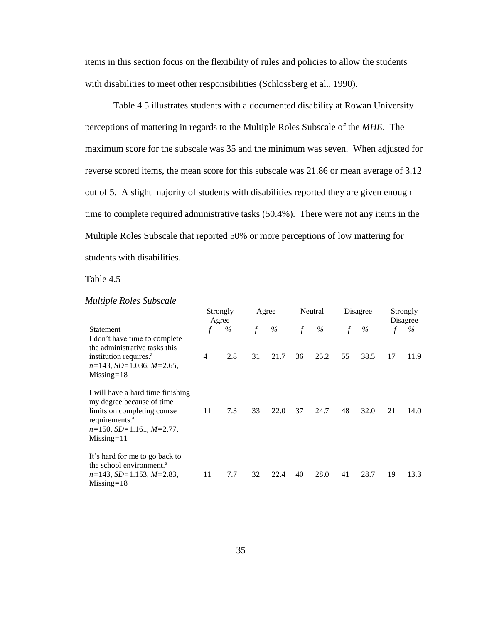items in this section focus on the flexibility of rules and policies to allow the students with disabilities to meet other responsibilities (Schlossberg et al., 1990).

Table 4.5 illustrates students with a documented disability at Rowan University perceptions of mattering in regards to the Multiple Roles Subscale of the *MHE*. The maximum score for the subscale was 35 and the minimum was seven. When adjusted for reverse scored items, the mean score for this subscale was 21.86 or mean average of 3.12 out of 5. A slight majority of students with disabilities reported they are given enough time to complete required administrative tasks (50.4%). There were not any items in the Multiple Roles Subscale that reported 50% or more perceptions of low mattering for students with disabilities.

|                                                                                                                                                                                    | Strongly<br>Agree |      | Agree |      | Neutral |      | Disagree |      |    | Strongly<br>Disagree |
|------------------------------------------------------------------------------------------------------------------------------------------------------------------------------------|-------------------|------|-------|------|---------|------|----------|------|----|----------------------|
| <b>Statement</b>                                                                                                                                                                   |                   | $\%$ |       | $\%$ |         | $\%$ |          | $\%$ |    | $\%$                 |
| I don't have time to complete<br>the administrative tasks this<br>institution requires. <sup>a</sup><br>$n=143$ , SD=1.036, M=2.65,<br>$Missing = 18$                              | 4                 | 2.8  | 31    | 21.7 | 36      | 25.2 | 55       | 38.5 | 17 | 11.9                 |
| I will have a hard time finishing<br>my degree because of time<br>limits on completing course<br>requirements. <sup>a</sup><br>$n=150$ , $SD=1.161$ , $M=2.77$ ,<br>$Missing = 11$ | 11                | 7.3  | 33    | 22.0 | 37      | 24.7 | 48       | 32.0 | 21 | 14.0                 |
| It's hard for me to go back to<br>the school environment. <sup>a</sup><br>$n=143$ , SD=1.153, M=2.83,<br>$Missing=18$                                                              | 11                | 7.7  | 32    | 22.4 | 40      | 28.0 | 41       | 28.7 | 19 | 13.3                 |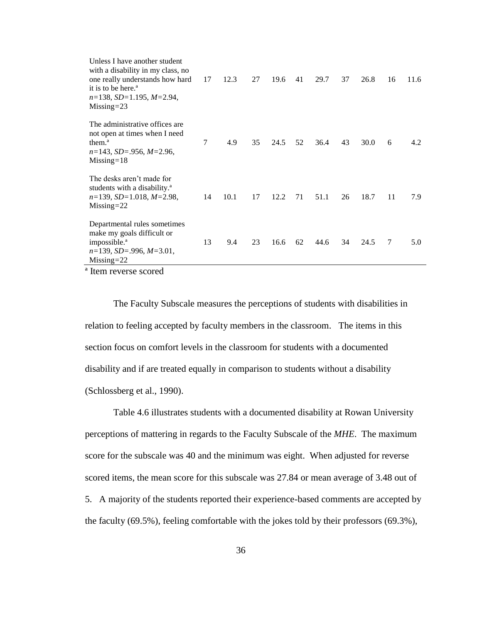| Unless I have another student<br>with a disability in my class, no<br>one really understands how hard<br>it is to be here. <sup>a</sup><br>$n=138$ , SD=1.195, M=2.94,<br>$Missing = 23$ | 17 | 12.3 | 27 | 19.6 | 41 | 29.7 | 37 | 26.8 | 16 | 11.6 |
|------------------------------------------------------------------------------------------------------------------------------------------------------------------------------------------|----|------|----|------|----|------|----|------|----|------|
| The administrative offices are.<br>not open at times when I need<br>them. <sup>a</sup><br>$n=143$ , SD=.956, M=2.96,<br>$Missing = 18$                                                   | 7  | 4.9  | 35 | 24.5 | 52 | 36.4 | 43 | 30.0 | 6  | 4.2  |
| The desks aren't made for<br>students with a disability. <sup>a</sup><br>$n=139$ , SD=1.018, M=2.98,<br>$Missing = 22$                                                                   | 14 | 10.1 | 17 | 12.2 | 71 | 51.1 | 26 | 18.7 | 11 | 7.9  |
| Departmental rules sometimes<br>make my goals difficult or<br>impossible. <sup>a</sup><br>$n=139$ , $SD=.996$ , $M=3.01$ ,<br>$Missing = 22$                                             | 13 | 9.4  | 23 | 16.6 | 62 | 44.6 | 34 | 24.5 | 7  | 5.0  |

<sup>a</sup> Item reverse scored

The Faculty Subscale measures the perceptions of students with disabilities in relation to feeling accepted by faculty members in the classroom. The items in this section focus on comfort levels in the classroom for students with a documented disability and if are treated equally in comparison to students without a disability (Schlossberg et al., 1990).

Table 4.6 illustrates students with a documented disability at Rowan University perceptions of mattering in regards to the Faculty Subscale of the *MHE*. The maximum score for the subscale was 40 and the minimum was eight. When adjusted for reverse scored items, the mean score for this subscale was 27.84 or mean average of 3.48 out of 5. A majority of the students reported their experience-based comments are accepted by the faculty (69.5%), feeling comfortable with the jokes told by their professors (69.3%),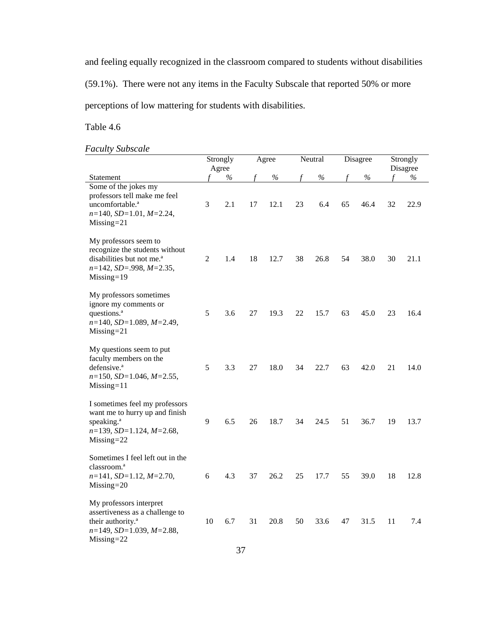and feeling equally recognized in the classroom compared to students without disabilities

(59.1%). There were not any items in the Faculty Subscale that reported 50% or more

perceptions of low mattering for students with disabilities.

## Table 4.6

## *Faculty Subscale*

|                                                                                                                                                   |    | Strongly<br>Agree |    | Agree |    | Neutral |    | Disagree |    | Strongly<br>Disagree |
|---------------------------------------------------------------------------------------------------------------------------------------------------|----|-------------------|----|-------|----|---------|----|----------|----|----------------------|
| Statement                                                                                                                                         |    | $\%$              |    | $\%$  | f  | $\%$    |    | $\%$     | f  | $\%$                 |
| Some of the jokes my<br>professors tell make me feel<br>uncomfortable. <sup>a</sup><br>$n=140$ , $SD=1.01$ , $M=2.24$ ,<br>$Missing = 21$         | 3  | 2.1               | 17 | 12.1  | 23 | 6.4     | 65 | 46.4     | 32 | 22.9                 |
| My professors seem to<br>recognize the students without<br>disabilities but not me. <sup>a</sup><br>$n=142$ , SD=.998, M=2.35,<br>$Missing = 19$  | 2  | 1.4               | 18 | 12.7  | 38 | 26.8    | 54 | 38.0     | 30 | 21.1                 |
| My professors sometimes<br>ignore my comments or<br>questions. <sup>a</sup><br>$n=140$ , SD=1.089, M=2.49,<br>$Missing = 21$                      | 5  | 3.6               | 27 | 19.3  | 22 | 15.7    | 63 | 45.0     | 23 | 16.4                 |
| My questions seem to put<br>faculty members on the<br>defensive. <sup>a</sup><br>$n=150$ , $SD=1.046$ , $M=2.55$ ,<br>$Missing = 11$              | 5  | 3.3               | 27 | 18.0  | 34 | 22.7    | 63 | 42.0     | 21 | 14.0                 |
| I sometimes feel my professors<br>want me to hurry up and finish<br>speaking. <sup>a</sup><br>$n=139$ , $SD=1.124$ , $M=2.68$ ,<br>$Missing = 22$ | 9  | 6.5               | 26 | 18.7  | 34 | 24.5    | 51 | 36.7     | 19 | 13.7                 |
| Sometimes I feel left out in the<br>classroom. <sup>a</sup><br>$n=141$ , SD=1.12, M=2.70,<br>$Missing = 20$                                       | 6  | 4.3               | 37 | 26.2  | 25 | 17.7    | 55 | 39.0     | 18 | 12.8                 |
| My professors interpret<br>assertiveness as a challenge to<br>their authority. <sup>a</sup><br>$n=149$ , SD=1.039, M=2.88,<br>$Missing = 22$      | 10 | 6.7               | 31 | 20.8  | 50 | 33.6    | 47 | 31.5     | 11 | 7.4                  |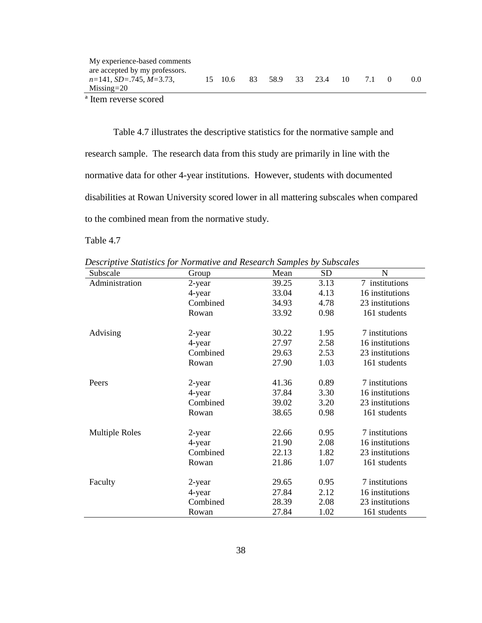ª Item reverse scored

Table 4.7 illustrates the descriptive statistics for the normative sample and research sample. The research data from this study are primarily in line with the normative data for other 4-year institutions. However, students with documented disabilities at Rowan University scored lower in all mattering subscales when compared to the combined mean from the normative study.

*Descriptive Statistics for Normative and Research Samples by Subscales*

| Subscale              | Group    | Mean  | <b>SD</b> | N               |
|-----------------------|----------|-------|-----------|-----------------|
| Administration        | 2-year   | 39.25 | 3.13      | 7 institutions  |
|                       | 4-year   | 33.04 | 4.13      | 16 institutions |
|                       | Combined | 34.93 | 4.78      | 23 institutions |
|                       | Rowan    | 33.92 | 0.98      | 161 students    |
| Advising              | 2-year   | 30.22 | 1.95      | 7 institutions  |
|                       | 4-year   | 27.97 | 2.58      | 16 institutions |
|                       | Combined | 29.63 | 2.53      | 23 institutions |
|                       | Rowan    | 27.90 | 1.03      | 161 students    |
| Peers                 | 2-year   | 41.36 | 0.89      | 7 institutions  |
|                       | 4-year   | 37.84 | 3.30      | 16 institutions |
|                       | Combined | 39.02 | 3.20      | 23 institutions |
|                       | Rowan    | 38.65 | 0.98      | 161 students    |
| <b>Multiple Roles</b> | 2-year   | 22.66 | 0.95      | 7 institutions  |
|                       | 4-year   | 21.90 | 2.08      | 16 institutions |
|                       | Combined | 22.13 | 1.82      | 23 institutions |
|                       | Rowan    | 21.86 | 1.07      | 161 students    |
| Faculty               | 2-year   | 29.65 | 0.95      | 7 institutions  |
|                       | 4-year   | 27.84 | 2.12      | 16 institutions |
|                       | Combined | 28.39 | 2.08      | 23 institutions |
|                       | Rowan    | 27.84 | 1.02      | 161 students    |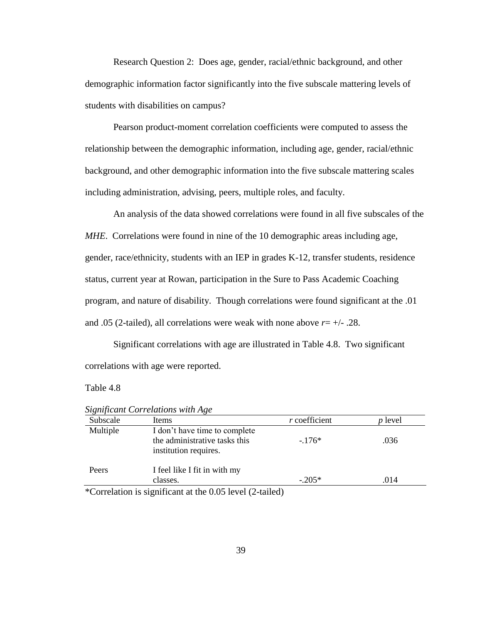Research Question 2: Does age, gender, racial/ethnic background, and other demographic information factor significantly into the five subscale mattering levels of students with disabilities on campus?

Pearson product-moment correlation coefficients were computed to assess the relationship between the demographic information, including age, gender, racial/ethnic background, and other demographic information into the five subscale mattering scales including administration, advising, peers, multiple roles, and faculty.

An analysis of the data showed correlations were found in all five subscales of the *MHE*. Correlations were found in nine of the 10 demographic areas including age, gender, race/ethnicity, students with an IEP in grades K-12, transfer students, residence status, current year at Rowan, participation in the Sure to Pass Academic Coaching program, and nature of disability. Though correlations were found significant at the .01 and .05 (2-tailed), all correlations were weak with none above  $r = +/-.28$ .

Significant correlations with age are illustrated in Table 4.8. Two significant correlations with age were reported.

#### Table 4.8

| Subscale | Items                                                                                   | $r$ coefficient | <i>p</i> level |
|----------|-----------------------------------------------------------------------------------------|-----------------|----------------|
| Multiple | I don't have time to complete<br>the administrative tasks this<br>institution requires. | $-176*$         | .036           |
| Peers    | I feel like I fit in with my<br>classes.                                                | $-.205*$        | .014           |

*Significant Correlations with Age*

Correlation is significant at the  $0.05$  level (2-tailed)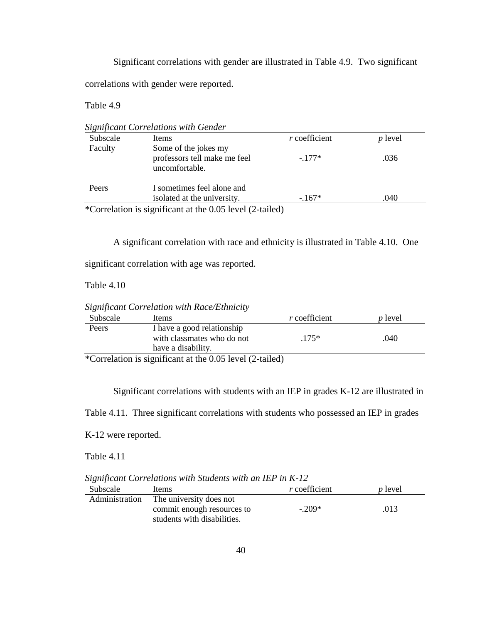Significant correlations with gender are illustrated in Table 4.9. Two significant correlations with gender were reported.

Table 4.9

*Significant Correlations with Gender* Subscale Items *r* coefficient *p* level Faculty Peers Some of the jokes my professors tell make me feel uncomfortable. I sometimes feel alone and isolated at the university. -.177\* -.167\* .036 .040 \*Correlation is significant at the 0.05 level (2-tailed)

A significant correlation with race and ethnicity is illustrated in Table 4.10. One

significant correlation with age was reported.

Table 4.10

*Significant Correlation with Race/Ethnicity*

| Subscale | Items                                                                          | <i>r</i> coefficient | <i>p</i> level |
|----------|--------------------------------------------------------------------------------|----------------------|----------------|
| Peers    | I have a good relationship<br>with classmates who do not<br>have a disability. | $.175*$              | .040           |

\*Correlation is significant at the 0.05 level (2-tailed)

Significant correlations with students with an IEP in grades K-12 are illustrated in

Table 4.11. Three significant correlations with students who possessed an IEP in grades

K-12 were reported.

*Significant Correlations with Students with an IEP in K-12*

| Subscale       | Items                                                                                | <i>r</i> coefficient | <i>p</i> level |
|----------------|--------------------------------------------------------------------------------------|----------------------|----------------|
| Administration | The university does not<br>commit enough resources to<br>students with disabilities. | $-.209*$             | .013           |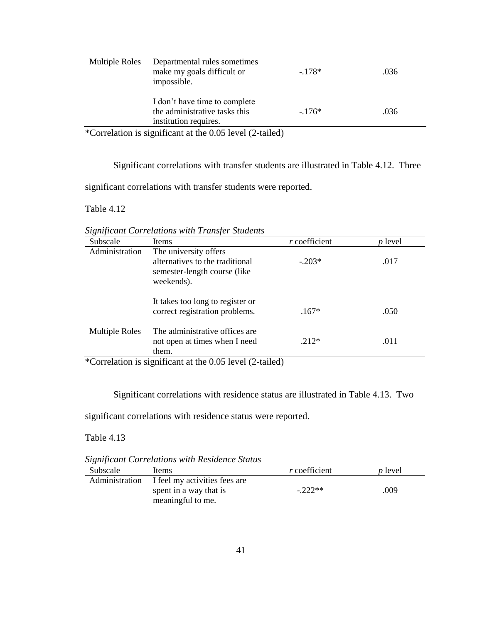| Multiple Roles | Departmental rules sometimes<br>make my goals difficult or<br>impossible.               | $-178*$ | .036 |
|----------------|-----------------------------------------------------------------------------------------|---------|------|
|                | I don't have time to complete<br>the administrative tasks this<br>institution requires. | $-176*$ | .036 |
| $\sim$         | $\cdot$ $\sim$<br>$1 / 2$ , $1 \quad 1$                                                 |         |      |

\*Correlation is significant at the 0.05 level (2-tailed)

Significant correlations with transfer students are illustrated in Table 4.12. Three

significant correlations with transfer students were reported.

Table 4.12

*Significant Correlations with Transfer Students*

| Subscale                                                 | Items                                                                                                   | $r$ coefficient | $p$ level |  |  |
|----------------------------------------------------------|---------------------------------------------------------------------------------------------------------|-----------------|-----------|--|--|
| Administration                                           | The university offers<br>alternatives to the traditional<br>semester-length course (like)<br>weekends). | $-.203*$        | .017      |  |  |
|                                                          | It takes too long to register or<br>correct registration problems.                                      | $.167*$         | .050      |  |  |
| <b>Multiple Roles</b>                                    | The administrative offices are<br>not open at times when I need<br>them.                                | $.212*$         | .011      |  |  |
| *Correlation is significant at the 0.05 level (2-tailed) |                                                                                                         |                 |           |  |  |

Significant correlations with residence status are illustrated in Table 4.13. Two

significant correlations with residence status were reported.

*Significant Correlations with Residence Status*

| Subscale       | Items                                                                        | <i>r</i> coefficient | <i>p</i> level |
|----------------|------------------------------------------------------------------------------|----------------------|----------------|
| Administration | I feel my activities fees are<br>spent in a way that is<br>meaningful to me. | $-222**$             | .009           |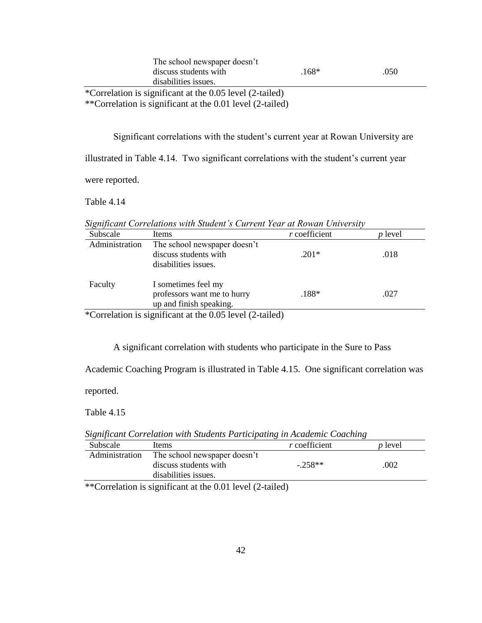|                       | The school newspaper doesn't                                                |         |      |
|-----------------------|-----------------------------------------------------------------------------|---------|------|
| discuss students with |                                                                             | $.168*$ | .050 |
| disabilities issues.  |                                                                             |         |      |
| .                     | $\mathbf{a}$ . The contract of $\mathbf{a}$ is the contract of $\mathbf{a}$ |         |      |

\*Correlation is significant at the 0.05 level (2-tailed) \*\*Correlation is significant at the 0.01 level (2-tailed)

Significant correlations with the student's current year at Rowan University are

illustrated in Table 4.14. Two significant correlations with the student's current year

were reported.

Table 4.14

*Significant Correlations with Student's Current Year at Rowan University*

| Subscale       | Items                                                                         | $r$ coefficient | <i>p</i> level |
|----------------|-------------------------------------------------------------------------------|-----------------|----------------|
| Administration | The school newspaper doesn't<br>discuss students with<br>disabilities issues. | $.201*$         | .018           |
| Faculty        | I sometimes feel my<br>professors want me to hurry<br>up and finish speaking. | $.188*$         | .027           |
|                | *Correlation is significant at the $0.05$ level $(2$ -tailed)                 |                 |                |

Correlation is significant at the  $0.05$  level (2-tailed)

A significant correlation with students who participate in the Sure to Pass

Academic Coaching Program is illustrated in Table 4.15. One significant correlation was

reported.

Table 4.15

Subscale Items *r* coefficient *p* level Administration The school newspaper doesn't discuss students with  $-.258**$  .002

*Significant Correlation with Students Participating in Academic Coaching*

disabilities issues. \*\*Correlation is significant at the 0.01 level (2-tailed)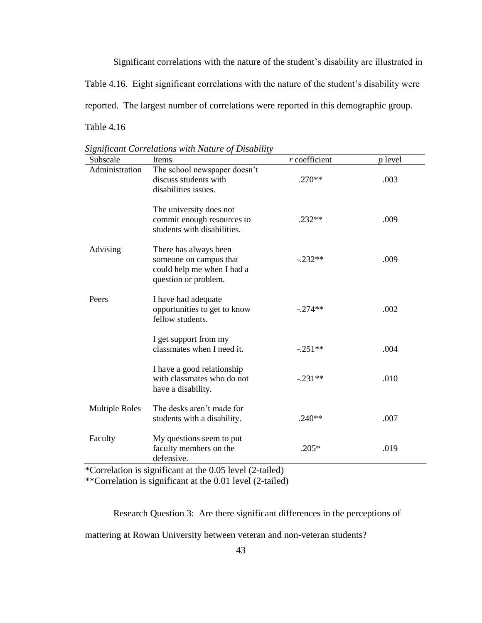Significant correlations with the nature of the student's disability are illustrated in Table 4.16. Eight significant correlations with the nature of the student's disability were reported. The largest number of correlations were reported in this demographic group. Table 4.16

| Subscale              | Items                                                                                                 | $r$ coefficient | p level |
|-----------------------|-------------------------------------------------------------------------------------------------------|-----------------|---------|
| Administration        | The school newspaper doesn't<br>discuss students with<br>disabilities issues.                         | $.270**$        | .003    |
|                       | The university does not<br>commit enough resources to<br>students with disabilities.                  | $.232**$        | .009    |
| Advising              | There has always been<br>someone on campus that<br>could help me when I had a<br>question or problem. | $-.232**$       | .009    |
| Peers                 | I have had adequate<br>opportunities to get to know<br>fellow students.                               | $-.274**$       | .002    |
|                       | I get support from my<br>classmates when I need it.                                                   | $-.251**$       | .004    |
|                       | I have a good relationship<br>with classmates who do not<br>have a disability.                        | $-.231**$       | .010    |
| <b>Multiple Roles</b> | The desks aren't made for<br>students with a disability.                                              | $.240**$        | .007    |
| Faculty               | My questions seem to put<br>faculty members on the<br>defensive.                                      | $.205*$         | .019    |
|                       | *Correlation is significant at the $0.05$ level $(2$ -tailed)                                         |                 |         |

*Significant Correlations with Nature of Disability*

relation is significant at the 0.05 level (2-tailed) \*\*Correlation is significant at the 0.01 level (2-tailed)

Research Question 3: Are there significant differences in the perceptions of

mattering at Rowan University between veteran and non-veteran students?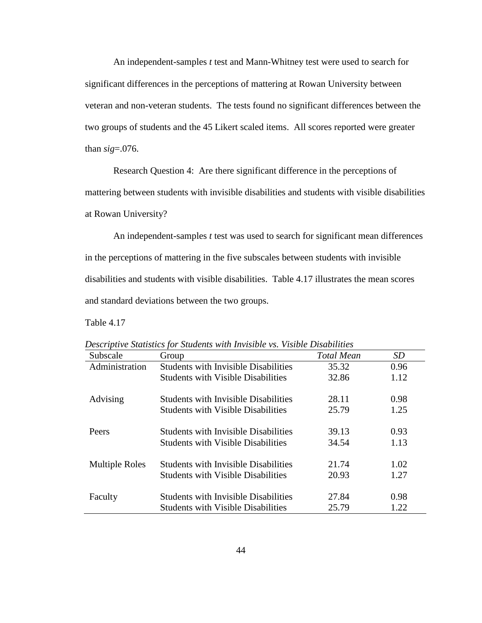An independent-samples *t* test and Mann-Whitney test were used to search for significant differences in the perceptions of mattering at Rowan University between veteran and non-veteran students. The tests found no significant differences between the two groups of students and the 45 Likert scaled items. All scores reported were greater than *sig*=.076.

Research Question 4: Are there significant difference in the perceptions of mattering between students with invisible disabilities and students with visible disabilities at Rowan University?

An independent-samples *t* test was used to search for significant mean differences in the perceptions of mattering in the five subscales between students with invisible disabilities and students with visible disabilities. Table 4.17 illustrates the mean scores and standard deviations between the two groups.

| Subscale              | Group                                       | <b>Total Mean</b> | <i>SD</i> |
|-----------------------|---------------------------------------------|-------------------|-----------|
| Administration        | <b>Students with Invisible Disabilities</b> | 35.32             | 0.96      |
|                       | <b>Students with Visible Disabilities</b>   | 32.86             | 1.12      |
| Advising              | <b>Students with Invisible Disabilities</b> | 28.11             | 0.98      |
|                       | <b>Students with Visible Disabilities</b>   | 25.79             | 1.25      |
| Peers                 | <b>Students with Invisible Disabilities</b> | 39.13             | 0.93      |
|                       | <b>Students with Visible Disabilities</b>   | 34.54             | 1.13      |
| <b>Multiple Roles</b> | <b>Students with Invisible Disabilities</b> | 21.74             | 1.02      |
|                       | <b>Students with Visible Disabilities</b>   | 20.93             | 1.27      |
| Faculty               | <b>Students with Invisible Disabilities</b> | 27.84             | 0.98      |
|                       | <b>Students with Visible Disabilities</b>   | 25.79             | 1.22      |

*Descriptive Statistics for Students with Invisible vs. Visible Disabilities*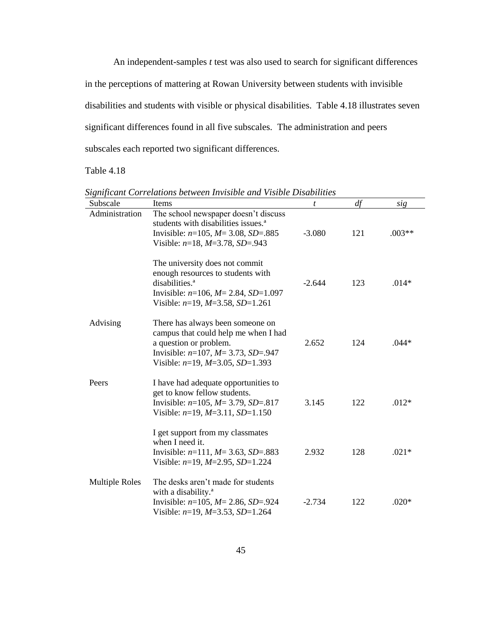An independent-samples *t* test was also used to search for significant differences in the perceptions of mattering at Rowan University between students with invisible disabilities and students with visible or physical disabilities. Table 4.18 illustrates seven significant differences found in all five subscales. The administration and peers subscales each reported two significant differences.

| Subscale              | Items                                                                                                                                                                                      | t        | df  | sig      |
|-----------------------|--------------------------------------------------------------------------------------------------------------------------------------------------------------------------------------------|----------|-----|----------|
| Administration        | The school newspaper doesn't discuss<br>students with disabilities issues. <sup>a</sup><br>Invisible: $n=105$ , $M=3.08$ , $SD=.885$<br>Visible: $n=18$ , $M=3.78$ , $SD=.943$             | $-3.080$ | 121 | $.003**$ |
|                       | The university does not commit<br>enough resources to students with<br>disabilities. <sup>a</sup><br>Invisible: $n=106$ , $M=2.84$ , SD=1.097<br>Visible: $n=19$ , $M=3.58$ , $SD=1.261$   | $-2.644$ | 123 | $.014*$  |
| Advising              | There has always been someone on<br>campus that could help me when I had<br>a question or problem.<br>Invisible: $n=107$ , $M=3.73$ , $SD=.947$<br>Visible: $n=19$ , $M=3.05$ , $SD=1.393$ | 2.652    | 124 | $.044*$  |
| Peers                 | I have had adequate opportunities to<br>get to know fellow students.<br>Invisible: $n=105$ , $M=3.79$ , $SD=.817$<br>Visible: $n=19$ , $M=3.11$ , $SD=1.150$                               | 3.145    | 122 | $.012*$  |
|                       | I get support from my classmates<br>when I need it.<br>Invisible: $n=111$ , $M=3.63$ , $SD=.883$<br>Visible: $n=19$ , $M=2.95$ , $SD=1.224$                                                | 2.932    | 128 | $.021*$  |
| <b>Multiple Roles</b> | The desks aren't made for students<br>with a disability. <sup>a</sup><br>Invisible: $n=105$ , $M=2.86$ , $SD=.924$<br>Visible: $n=19$ , $M=3.53$ , $SD=1.264$                              | $-2.734$ | 122 | $.020*$  |

*Significant Correlations between Invisible and Visible Disabilities*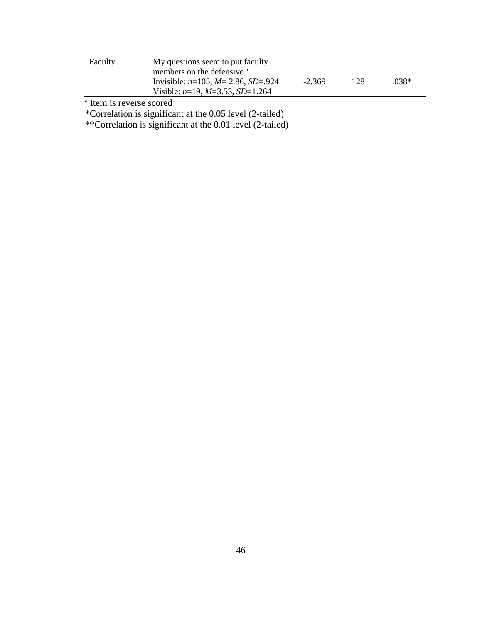| Faculty | My questions seem to put faculty          |          |     |      |
|---------|-------------------------------------------|----------|-----|------|
|         | members on the defensive. <sup>4</sup>    |          |     |      |
|         | Invisible: $n=105$ , $M=2.86$ , $SD=.924$ | $-2.369$ | 128 | 038* |
|         | Visible: $n=19$ , $M=3.53$ , SD=1.264     |          |     |      |

ª Item is reverse scored

\*Correlation is significant at the 0.05 level (2-tailed)

\*\*Correlation is significant at the 0.01 level (2-tailed)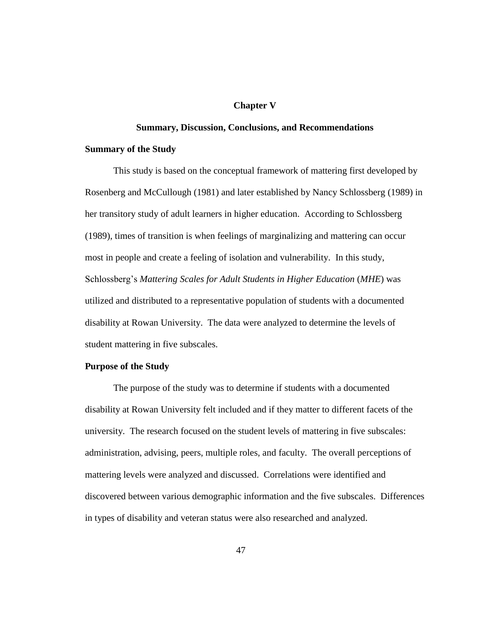#### **Chapter V**

#### **Summary, Discussion, Conclusions, and Recommendations**

#### **Summary of the Study**

This study is based on the conceptual framework of mattering first developed by Rosenberg and McCullough (1981) and later established by Nancy Schlossberg (1989) in her transitory study of adult learners in higher education. According to Schlossberg (1989), times of transition is when feelings of marginalizing and mattering can occur most in people and create a feeling of isolation and vulnerability. In this study, Schlossberg's *Mattering Scales for Adult Students in Higher Education* (*MHE*) was utilized and distributed to a representative population of students with a documented disability at Rowan University. The data were analyzed to determine the levels of student mattering in five subscales.

#### **Purpose of the Study**

The purpose of the study was to determine if students with a documented disability at Rowan University felt included and if they matter to different facets of the university. The research focused on the student levels of mattering in five subscales: administration, advising, peers, multiple roles, and faculty. The overall perceptions of mattering levels were analyzed and discussed. Correlations were identified and discovered between various demographic information and the five subscales. Differences in types of disability and veteran status were also researched and analyzed.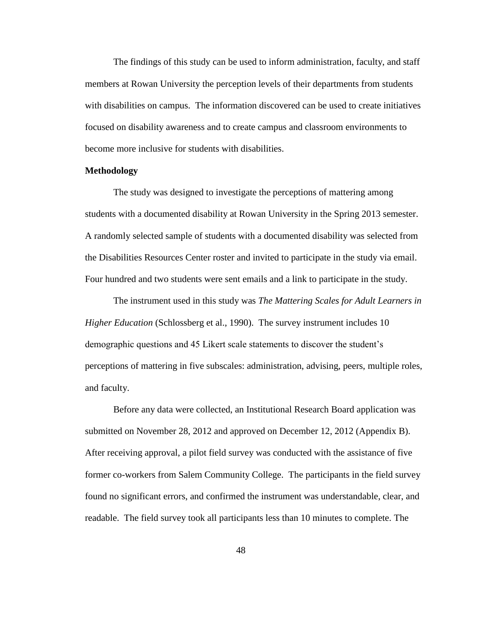The findings of this study can be used to inform administration, faculty, and staff members at Rowan University the perception levels of their departments from students with disabilities on campus. The information discovered can be used to create initiatives focused on disability awareness and to create campus and classroom environments to become more inclusive for students with disabilities.

#### **Methodology**

The study was designed to investigate the perceptions of mattering among students with a documented disability at Rowan University in the Spring 2013 semester. A randomly selected sample of students with a documented disability was selected from the Disabilities Resources Center roster and invited to participate in the study via email. Four hundred and two students were sent emails and a link to participate in the study.

The instrument used in this study was *The Mattering Scales for Adult Learners in Higher Education* (Schlossberg et al., 1990). The survey instrument includes 10 demographic questions and 45 Likert scale statements to discover the student's perceptions of mattering in five subscales: administration, advising, peers, multiple roles, and faculty.

Before any data were collected, an Institutional Research Board application was submitted on November 28, 2012 and approved on December 12, 2012 (Appendix B). After receiving approval, a pilot field survey was conducted with the assistance of five former co-workers from Salem Community College. The participants in the field survey found no significant errors, and confirmed the instrument was understandable, clear, and readable. The field survey took all participants less than 10 minutes to complete. The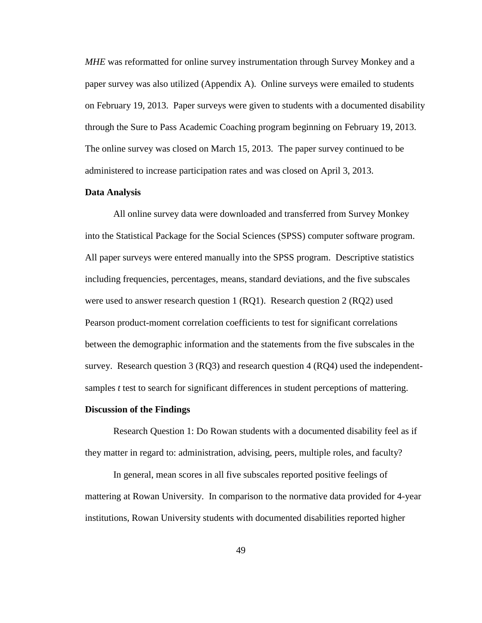*MHE* was reformatted for online survey instrumentation through Survey Monkey and a paper survey was also utilized (Appendix A). Online surveys were emailed to students on February 19, 2013. Paper surveys were given to students with a documented disability through the Sure to Pass Academic Coaching program beginning on February 19, 2013. The online survey was closed on March 15, 2013. The paper survey continued to be administered to increase participation rates and was closed on April 3, 2013.

#### **Data Analysis**

All online survey data were downloaded and transferred from Survey Monkey into the Statistical Package for the Social Sciences (SPSS) computer software program. All paper surveys were entered manually into the SPSS program. Descriptive statistics including frequencies, percentages, means, standard deviations, and the five subscales were used to answer research question 1 (RQ1). Research question 2 (RQ2) used Pearson product-moment correlation coefficients to test for significant correlations between the demographic information and the statements from the five subscales in the survey. Research question 3 (RQ3) and research question 4 (RQ4) used the independentsamples *t* test to search for significant differences in student perceptions of mattering.

#### **Discussion of the Findings**

Research Question 1: Do Rowan students with a documented disability feel as if they matter in regard to: administration, advising, peers, multiple roles, and faculty?

In general, mean scores in all five subscales reported positive feelings of mattering at Rowan University. In comparison to the normative data provided for 4-year institutions, Rowan University students with documented disabilities reported higher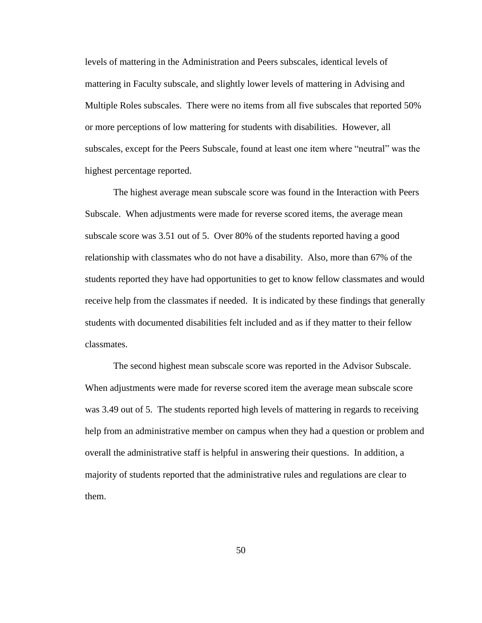levels of mattering in the Administration and Peers subscales, identical levels of mattering in Faculty subscale, and slightly lower levels of mattering in Advising and Multiple Roles subscales. There were no items from all five subscales that reported 50% or more perceptions of low mattering for students with disabilities. However, all subscales, except for the Peers Subscale, found at least one item where "neutral" was the highest percentage reported.

The highest average mean subscale score was found in the Interaction with Peers Subscale. When adjustments were made for reverse scored items, the average mean subscale score was 3.51 out of 5. Over 80% of the students reported having a good relationship with classmates who do not have a disability. Also, more than 67% of the students reported they have had opportunities to get to know fellow classmates and would receive help from the classmates if needed. It is indicated by these findings that generally students with documented disabilities felt included and as if they matter to their fellow classmates.

The second highest mean subscale score was reported in the Advisor Subscale. When adjustments were made for reverse scored item the average mean subscale score was 3.49 out of 5. The students reported high levels of mattering in regards to receiving help from an administrative member on campus when they had a question or problem and overall the administrative staff is helpful in answering their questions. In addition, a majority of students reported that the administrative rules and regulations are clear to them.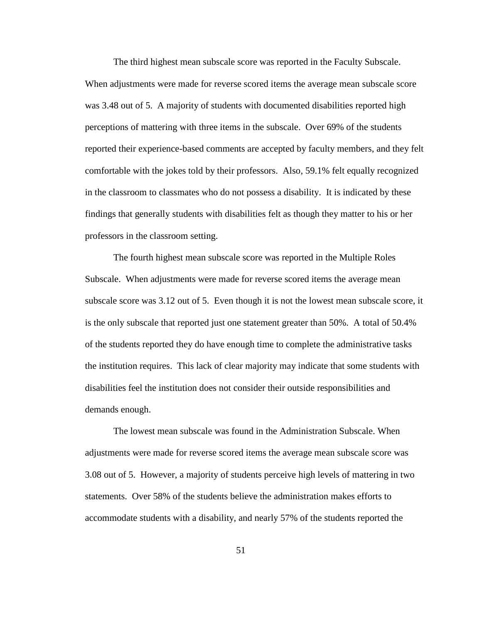The third highest mean subscale score was reported in the Faculty Subscale. When adjustments were made for reverse scored items the average mean subscale score was 3.48 out of 5. A majority of students with documented disabilities reported high perceptions of mattering with three items in the subscale. Over 69% of the students reported their experience-based comments are accepted by faculty members, and they felt comfortable with the jokes told by their professors. Also, 59.1% felt equally recognized in the classroom to classmates who do not possess a disability. It is indicated by these findings that generally students with disabilities felt as though they matter to his or her professors in the classroom setting.

The fourth highest mean subscale score was reported in the Multiple Roles Subscale. When adjustments were made for reverse scored items the average mean subscale score was 3.12 out of 5. Even though it is not the lowest mean subscale score, it is the only subscale that reported just one statement greater than 50%. A total of 50.4% of the students reported they do have enough time to complete the administrative tasks the institution requires. This lack of clear majority may indicate that some students with disabilities feel the institution does not consider their outside responsibilities and demands enough.

The lowest mean subscale was found in the Administration Subscale. When adjustments were made for reverse scored items the average mean subscale score was 3.08 out of 5. However, a majority of students perceive high levels of mattering in two statements. Over 58% of the students believe the administration makes efforts to accommodate students with a disability, and nearly 57% of the students reported the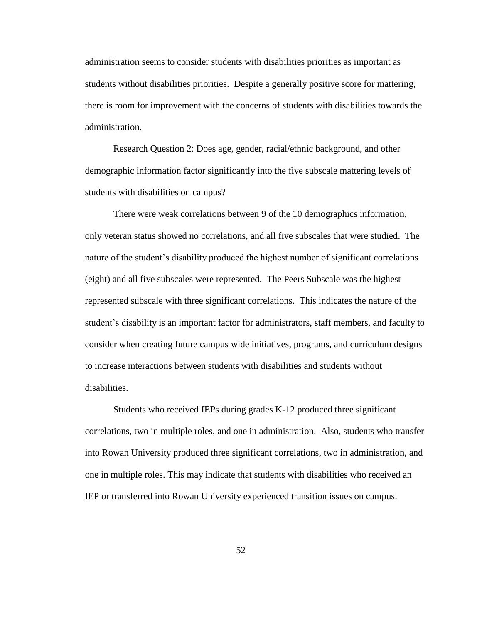administration seems to consider students with disabilities priorities as important as students without disabilities priorities. Despite a generally positive score for mattering, there is room for improvement with the concerns of students with disabilities towards the administration.

Research Question 2: Does age, gender, racial/ethnic background, and other demographic information factor significantly into the five subscale mattering levels of students with disabilities on campus?

There were weak correlations between 9 of the 10 demographics information, only veteran status showed no correlations, and all five subscales that were studied. The nature of the student's disability produced the highest number of significant correlations (eight) and all five subscales were represented. The Peers Subscale was the highest represented subscale with three significant correlations. This indicates the nature of the student's disability is an important factor for administrators, staff members, and faculty to consider when creating future campus wide initiatives, programs, and curriculum designs to increase interactions between students with disabilities and students without disabilities.

Students who received IEPs during grades K-12 produced three significant correlations, two in multiple roles, and one in administration. Also, students who transfer into Rowan University produced three significant correlations, two in administration, and one in multiple roles. This may indicate that students with disabilities who received an IEP or transferred into Rowan University experienced transition issues on campus.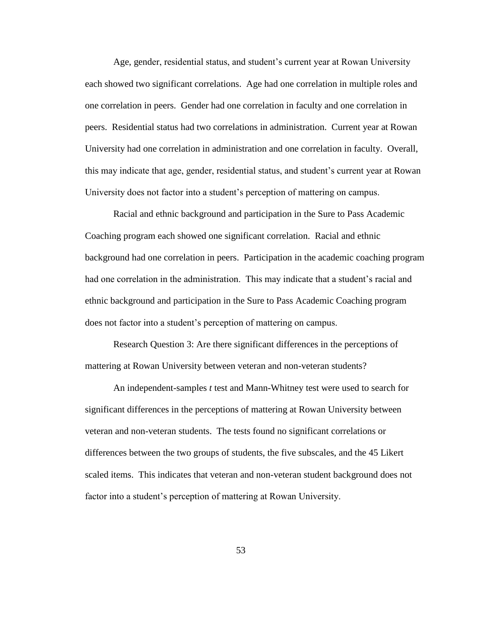Age, gender, residential status, and student's current year at Rowan University each showed two significant correlations. Age had one correlation in multiple roles and one correlation in peers. Gender had one correlation in faculty and one correlation in peers. Residential status had two correlations in administration. Current year at Rowan University had one correlation in administration and one correlation in faculty. Overall, this may indicate that age, gender, residential status, and student's current year at Rowan University does not factor into a student's perception of mattering on campus.

Racial and ethnic background and participation in the Sure to Pass Academic Coaching program each showed one significant correlation. Racial and ethnic background had one correlation in peers. Participation in the academic coaching program had one correlation in the administration. This may indicate that a student's racial and ethnic background and participation in the Sure to Pass Academic Coaching program does not factor into a student's perception of mattering on campus.

Research Question 3: Are there significant differences in the perceptions of mattering at Rowan University between veteran and non-veteran students?

An independent-samples *t* test and Mann-Whitney test were used to search for significant differences in the perceptions of mattering at Rowan University between veteran and non-veteran students. The tests found no significant correlations or differences between the two groups of students, the five subscales, and the 45 Likert scaled items. This indicates that veteran and non-veteran student background does not factor into a student's perception of mattering at Rowan University.

53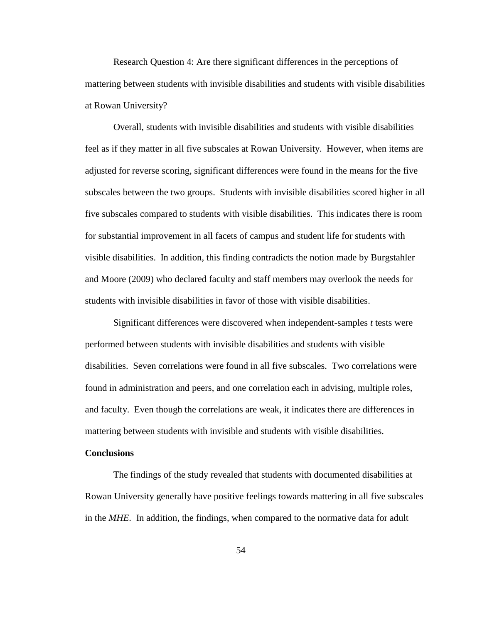Research Question 4: Are there significant differences in the perceptions of mattering between students with invisible disabilities and students with visible disabilities at Rowan University?

Overall, students with invisible disabilities and students with visible disabilities feel as if they matter in all five subscales at Rowan University. However, when items are adjusted for reverse scoring, significant differences were found in the means for the five subscales between the two groups. Students with invisible disabilities scored higher in all five subscales compared to students with visible disabilities. This indicates there is room for substantial improvement in all facets of campus and student life for students with visible disabilities. In addition, this finding contradicts the notion made by Burgstahler and Moore (2009) who declared faculty and staff members may overlook the needs for students with invisible disabilities in favor of those with visible disabilities.

Significant differences were discovered when independent-samples *t* tests were performed between students with invisible disabilities and students with visible disabilities. Seven correlations were found in all five subscales. Two correlations were found in administration and peers, and one correlation each in advising, multiple roles, and faculty. Even though the correlations are weak, it indicates there are differences in mattering between students with invisible and students with visible disabilities.

#### **Conclusions**

The findings of the study revealed that students with documented disabilities at Rowan University generally have positive feelings towards mattering in all five subscales in the *MHE*. In addition, the findings, when compared to the normative data for adult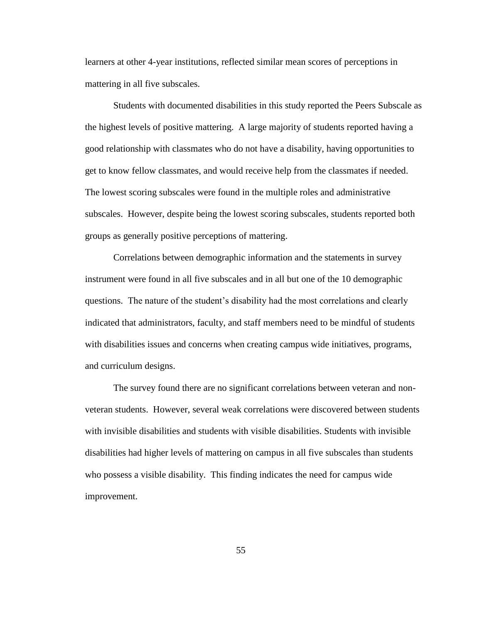learners at other 4-year institutions, reflected similar mean scores of perceptions in mattering in all five subscales.

Students with documented disabilities in this study reported the Peers Subscale as the highest levels of positive mattering. A large majority of students reported having a good relationship with classmates who do not have a disability, having opportunities to get to know fellow classmates, and would receive help from the classmates if needed. The lowest scoring subscales were found in the multiple roles and administrative subscales. However, despite being the lowest scoring subscales, students reported both groups as generally positive perceptions of mattering.

Correlations between demographic information and the statements in survey instrument were found in all five subscales and in all but one of the 10 demographic questions. The nature of the student's disability had the most correlations and clearly indicated that administrators, faculty, and staff members need to be mindful of students with disabilities issues and concerns when creating campus wide initiatives, programs, and curriculum designs.

The survey found there are no significant correlations between veteran and nonveteran students. However, several weak correlations were discovered between students with invisible disabilities and students with visible disabilities. Students with invisible disabilities had higher levels of mattering on campus in all five subscales than students who possess a visible disability. This finding indicates the need for campus wide improvement.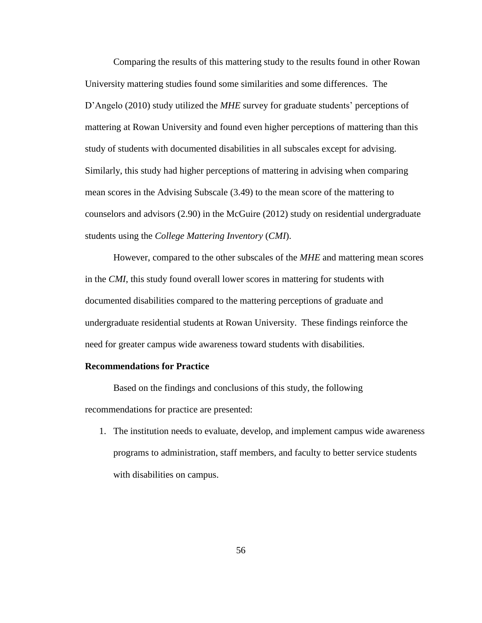Comparing the results of this mattering study to the results found in other Rowan University mattering studies found some similarities and some differences. The D'Angelo (2010) study utilized the *MHE* survey for graduate students' perceptions of mattering at Rowan University and found even higher perceptions of mattering than this study of students with documented disabilities in all subscales except for advising. Similarly, this study had higher perceptions of mattering in advising when comparing mean scores in the Advising Subscale (3.49) to the mean score of the mattering to counselors and advisors (2.90) in the McGuire (2012) study on residential undergraduate students using the *College Mattering Inventory* (*CMI*).

However, compared to the other subscales of the *MHE* and mattering mean scores in the *CMI*, this study found overall lower scores in mattering for students with documented disabilities compared to the mattering perceptions of graduate and undergraduate residential students at Rowan University. These findings reinforce the need for greater campus wide awareness toward students with disabilities.

#### **Recommendations for Practice**

Based on the findings and conclusions of this study, the following recommendations for practice are presented:

1. The institution needs to evaluate, develop, and implement campus wide awareness programs to administration, staff members, and faculty to better service students with disabilities on campus.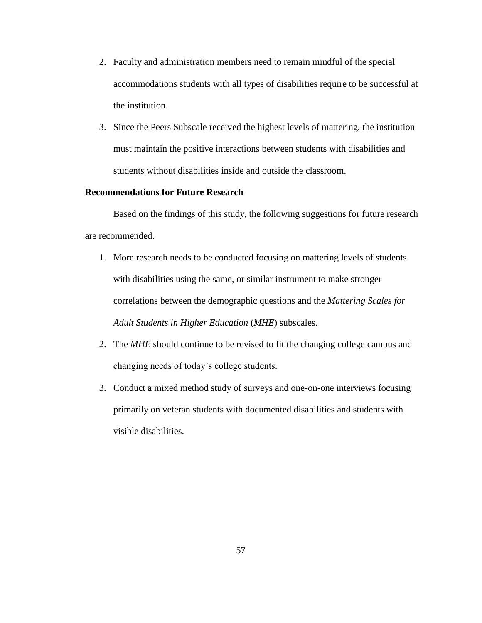- 2. Faculty and administration members need to remain mindful of the special accommodations students with all types of disabilities require to be successful at the institution.
- 3. Since the Peers Subscale received the highest levels of mattering, the institution must maintain the positive interactions between students with disabilities and students without disabilities inside and outside the classroom.

#### **Recommendations for Future Research**

Based on the findings of this study, the following suggestions for future research are recommended.

- 1. More research needs to be conducted focusing on mattering levels of students with disabilities using the same, or similar instrument to make stronger correlations between the demographic questions and the *Mattering Scales for Adult Students in Higher Education* (*MHE*) subscales.
- 2. The *MHE* should continue to be revised to fit the changing college campus and changing needs of today's college students.
- 3. Conduct a mixed method study of surveys and one-on-one interviews focusing primarily on veteran students with documented disabilities and students with visible disabilities.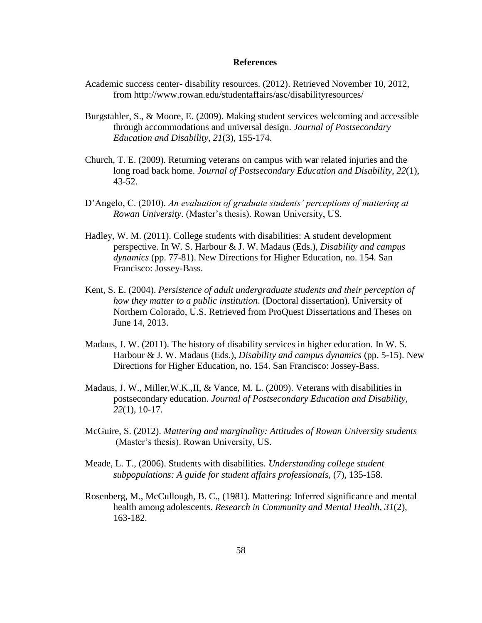#### **References**

- Academic success center- disability resources. (2012). Retrieved November 10, 2012, from http://www.rowan.edu/studentaffairs/asc/disabilityresources/
- Burgstahler, S., & Moore, E. (2009). Making student services welcoming and accessible through accommodations and universal design. *Journal of Postsecondary Education and Disability, 21*(3), 155-174.
- Church, T. E. (2009). Returning veterans on campus with war related injuries and the long road back home. *Journal of Postsecondary Education and Disability, 22*(1), 43-52.
- D'Angelo, C. (2010). *An evaluation of graduate students' perceptions of mattering at Rowan University*. (Master's thesis). Rowan University, US.
- Hadley, W. M. (2011). College students with disabilities: A student development perspective. In W. S. Harbour & J. W. Madaus (Eds.), *Disability and campus dynamics* (pp. 77-81). New Directions for Higher Education, no. 154. San Francisco: Jossey-Bass.
- Kent, S. E. (2004). *Persistence of adult undergraduate students and their perception of how they matter to a public institution*. (Doctoral dissertation). University of Northern Colorado, U.S. Retrieved from ProQuest Dissertations and Theses on June 14, 2013.
- Madaus, J. W. (2011). The history of disability services in higher education. In W. S. Harbour & J. W. Madaus (Eds.), *Disability and campus dynamics* (pp. 5-15). New Directions for Higher Education, no. 154. San Francisco: Jossey-Bass.
- Madaus, J. W., Miller,W.K.,II, & Vance, M. L. (2009). Veterans with disabilities in postsecondary education. *Journal of Postsecondary Education and Disability, 22*(1), 10-17.
- McGuire, S. (2012). *Mattering and marginality: Attitudes of Rowan University students* (Master's thesis). Rowan University, US.
- Meade, L. T., (2006). Students with disabilities. *Understanding college student subpopulations: A guide for student affairs professionals,* (7), 135-158.
- Rosenberg, M., McCullough, B. C., (1981). Mattering: Inferred significance and mental health among adolescents. *Research in Community and Mental Health, 31*(2), 163-182.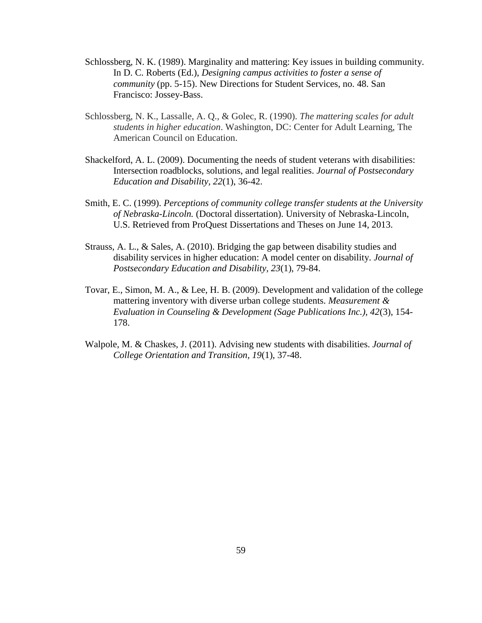- Schlossberg, N. K. (1989). Marginality and mattering: Key issues in building community. In D. C. Roberts (Ed.), *Designing campus activities to foster a sense of community* (pp. 5-15). New Directions for Student Services, no. 48. San Francisco: Jossey-Bass.
- Schlossberg, N. K., Lassalle, A. Q., & Golec, R. (1990). *The mattering scales for adult students in higher education*. Washington, DC: Center for Adult Learning, The American Council on Education.
- Shackelford, A. L. (2009). Documenting the needs of student veterans with disabilities: Intersection roadblocks, solutions, and legal realities. *Journal of Postsecondary Education and Disability, 22*(1), 36-42.
- Smith, E. C. (1999). *Perceptions of community college transfer students at the University of Nebraska-Lincoln.* (Doctoral dissertation). University of Nebraska-Lincoln, U.S. Retrieved from ProQuest Dissertations and Theses on June 14, 2013.
- Strauss, A. L., & Sales, A. (2010). Bridging the gap between disability studies and disability services in higher education: A model center on disability. *Journal of Postsecondary Education and Disability, 23*(1), 79-84.
- Tovar, E., Simon, M. A., & Lee, H. B. (2009). Development and validation of the college mattering inventory with diverse urban college students. *Measurement & Evaluation in Counseling & Development (Sage Publications Inc.), 42*(3), 154- 178.
- Walpole, M. & Chaskes, J. (2011). Advising new students with disabilities. *Journal of College Orientation and Transition, 19*(1), 37-48.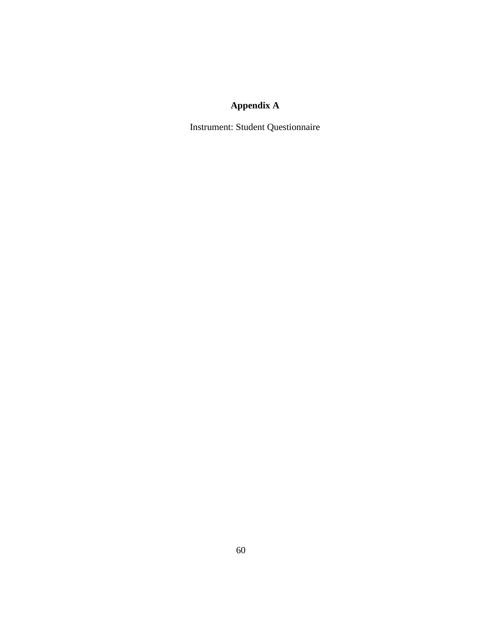# **Appendix A**

Instrument: Student Questionnaire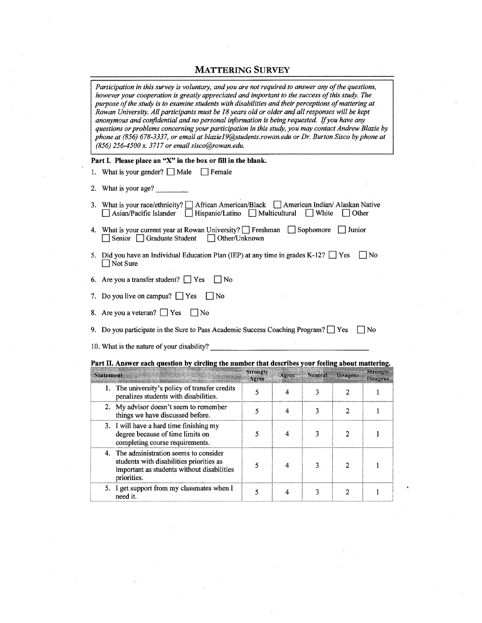### MATTERING SURVEY

| Participation in this survey is voluntary, and you are not required to answer any of the questions,<br>however your cooperation is greatly appreciated and important to the success of this study. The<br>purpose of the study is to examine students with disabilities and their perceptions of mattering at<br>Rowan University. All participants must be 18 years old or older and all responses will be kept<br>anonymous and confidential and no personal information is being requested. If you have any<br>questions or problems concerning your participation in this study, you may contact Andrew Blazie by<br>phone at (856) 678-3337, or email at blazie19@students.rowan.edu or Dr. Burton Sisco by phone at<br>(856) 256-4500 x. 3717 or email sisco@rowan.edu. |                   |                         |                |                         |                             |
|-------------------------------------------------------------------------------------------------------------------------------------------------------------------------------------------------------------------------------------------------------------------------------------------------------------------------------------------------------------------------------------------------------------------------------------------------------------------------------------------------------------------------------------------------------------------------------------------------------------------------------------------------------------------------------------------------------------------------------------------------------------------------------|-------------------|-------------------------|----------------|-------------------------|-----------------------------|
| Part I. Please place an "X" in the box or fill in the blank.                                                                                                                                                                                                                                                                                                                                                                                                                                                                                                                                                                                                                                                                                                                  |                   |                         |                |                         |                             |
| 1. What is your gender? $\Box$ Male<br>  Female                                                                                                                                                                                                                                                                                                                                                                                                                                                                                                                                                                                                                                                                                                                               |                   |                         |                |                         |                             |
| 2. What is your age?                                                                                                                                                                                                                                                                                                                                                                                                                                                                                                                                                                                                                                                                                                                                                          |                   |                         |                |                         |                             |
| 3. What is your race/ethnicity? [<br>African American/Black American Indian/ Alaskan Native<br>Hispanic/Latino Multicultural<br>Asian/Pacific Islander                                                                                                                                                                                                                                                                                                                                                                                                                                                                                                                                                                                                                        |                   |                         | White          | Other                   |                             |
| 4. What is your current year at Rowan University? Freshman Sophomore<br>Senior Graduate Student<br>$\Box$ Other/Unknown                                                                                                                                                                                                                                                                                                                                                                                                                                                                                                                                                                                                                                                       |                   |                         |                | $\vert$ Junior          |                             |
| 5. Did you have an Individual Education Plan (IEP) at any time in grades K-12? $\Box$ Yes<br>Not Sure                                                                                                                                                                                                                                                                                                                                                                                                                                                                                                                                                                                                                                                                         |                   |                         |                |                         | No                          |
| 6. Are you a transfer student? $\Box$ Yes<br>$\Box$ No                                                                                                                                                                                                                                                                                                                                                                                                                                                                                                                                                                                                                                                                                                                        |                   |                         |                |                         |                             |
| 7. Do you live on campus? $\Box$ Yes<br>∣No                                                                                                                                                                                                                                                                                                                                                                                                                                                                                                                                                                                                                                                                                                                                   |                   |                         |                |                         |                             |
| 8. Are you a veteran? $\Box$ Yes<br> No                                                                                                                                                                                                                                                                                                                                                                                                                                                                                                                                                                                                                                                                                                                                       |                   |                         |                |                         |                             |
| 9. Do you participate in the Sure to Pass Academic Success Coaching Program? Fest<br>No                                                                                                                                                                                                                                                                                                                                                                                                                                                                                                                                                                                                                                                                                       |                   |                         |                |                         |                             |
| 10. What is the nature of your disability?                                                                                                                                                                                                                                                                                                                                                                                                                                                                                                                                                                                                                                                                                                                                    |                   |                         |                |                         |                             |
| Part II. Answer each question by circling the number that describes your feeling about mattering.                                                                                                                                                                                                                                                                                                                                                                                                                                                                                                                                                                                                                                                                             |                   |                         |                |                         |                             |
| <b>Statement</b>                                                                                                                                                                                                                                                                                                                                                                                                                                                                                                                                                                                                                                                                                                                                                              | Strongly<br>Agree | Agree                   | <b>Neutral</b> | <b>Disagree</b>         | Strongly<br><b>Disagree</b> |
| 1. The university's policy of transfer credits<br>penalizes students with disabilities.                                                                                                                                                                                                                                                                                                                                                                                                                                                                                                                                                                                                                                                                                       | 5                 | 4                       | 3              | 2                       | $\mathbf{1}$                |
| 2. My advisor doesn't seem to remember<br>things we have discussed before.                                                                                                                                                                                                                                                                                                                                                                                                                                                                                                                                                                                                                                                                                                    | 5                 | 4                       | 3              | 2                       | $\mathbf{1}$                |
| 3. I will have a hard time finishing my<br>degree because of time limits on<br>completing course requirements.                                                                                                                                                                                                                                                                                                                                                                                                                                                                                                                                                                                                                                                                | 5                 | 4                       | 3              | 2                       | 1                           |
| The administration seems to consider<br>4.<br>students with disabilities priorities as<br>important as students without disabilities<br>priorities.                                                                                                                                                                                                                                                                                                                                                                                                                                                                                                                                                                                                                           | 5                 | 4                       | 3              | $\overline{\mathbf{c}}$ | $\mathbf{1}$                |
| I get support from my classmates when I<br>5.<br>need it.                                                                                                                                                                                                                                                                                                                                                                                                                                                                                                                                                                                                                                                                                                                     | 5                 | $\overline{\mathbf{4}}$ | $\mathfrak{Z}$ | $\boldsymbol{2}$        | $\mathbf{1}$                |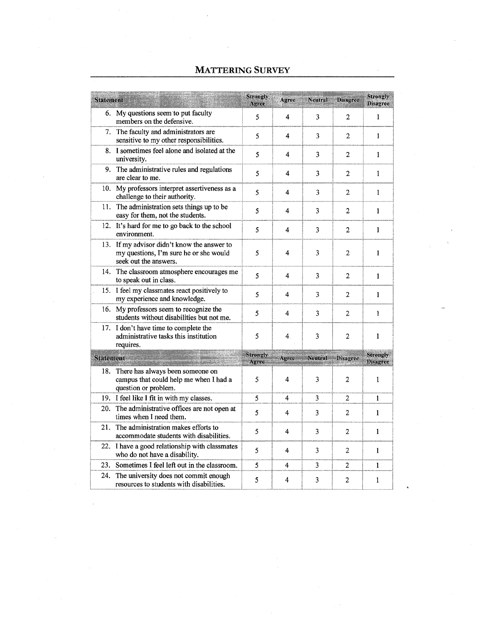| <b>Statement</b> |                                                                                                                | Strongly<br>Apree        | Agree          | Neutral        | <b>Disagree</b> | <b>Strongly</b><br><b>Disagree</b> |
|------------------|----------------------------------------------------------------------------------------------------------------|--------------------------|----------------|----------------|-----------------|------------------------------------|
|                  | 6. My questions seem to put faculty<br>members on the defensive.                                               | 5                        | 4              | 3              | 2               | 1                                  |
|                  | 7. The faculty and administrators are<br>sensitive to my other responsibilities.                               | 5                        | 4              | 3              | $\overline{2}$  | $\mathbf{1}$                       |
|                  | 8. I sometimes feel alone and isolated at the<br>university.                                                   | 5                        | 4              | 3              | $\overline{2}$  | $\mathbf{1}$                       |
| 9.               | The administrative rules and regulations<br>are clear to me.                                                   | 5                        | 4              | 3              | 2               | 1                                  |
| 10.              | My professors interpret assertiveness as a<br>challenge to their authority.                                    | 5                        | 4              | 3              | $\overline{c}$  | 1                                  |
|                  | 11. The administration sets things up to be<br>easy for them, not the students.                                | 5                        | 4              | 3              | $\overline{2}$  | 1                                  |
|                  | 12. It's hard for me to go back to the school<br>environment.                                                  | 5                        | 4              | 3              | $\overline{2}$  | 1                                  |
|                  | 13. If my advisor didn't know the answer to<br>my questions, I'm sure he or she would<br>seek out the answers. | 5                        | 4              | 3              | $\overline{c}$  | 1                                  |
|                  | 14. The classroom atmosphere encourages me<br>to speak out in class.                                           | 5                        | 4              | 3              | $\mathbf{2}$    | $\mathbf{1}$                       |
|                  | 15. I feel my classmates react positively to<br>my experience and knowledge.                                   | 5                        | 4              | 3              | $\overline{2}$  | $\mathbf{1}$                       |
| 16.              | My professors seem to recognize the<br>students without disabilities but not me.                               | 5                        | 4              | 3              | 2               | 1                                  |
| 17.              | I don't have time to complete the<br>administrative tasks this institution<br>requires.                        | 5                        | 4 <sub>1</sub> | 3              | $\overline{2}$  | $\mathbf{1}$                       |
| <b>Statement</b> | thian an mar anns a' a                                                                                         | <b>Strongly</b><br>Agree | Agree          | <b>Neutral</b> | Disagree        | <b>Strongly</b><br><b>Disagree</b> |
| 18.              | There has always been someone on<br>campus that could help me when I had a<br>question or problem.             | 5                        | 4              | 3              | $\overline{2}$  | 1                                  |
|                  | 19. I feel like I fit in with my classes.                                                                      | 5                        | 4              | 3              | 2               | 1                                  |
| 20.              | The administrative offices are not open at<br>times when I need them.                                          | 5                        | 4              | 3              | $\overline{2}$  | $\mathbf{1}$                       |
| 21.              | The administration makes efforts to<br>accommodate students with disabilities.                                 | 5                        | 4              | 3              | 2               | $\mathbf{1}$                       |
| 22.              | I have a good relationship with classmates<br>who do not have a disability.                                    | 5                        | 4              | 3              | $\overline{2}$  | $\mathbf{1}$                       |
| 23.              | Sometimes I feel left out in the classroom.                                                                    | 5                        | 4              | 3              | $\overline{2}$  | $\mathbf{1}$                       |
| 24.              | The university does not commit enough<br>resources to students with disabilities.                              | 5                        | 4              | 3              | $\overline{2}$  | 1                                  |

## MATTERING SURVEY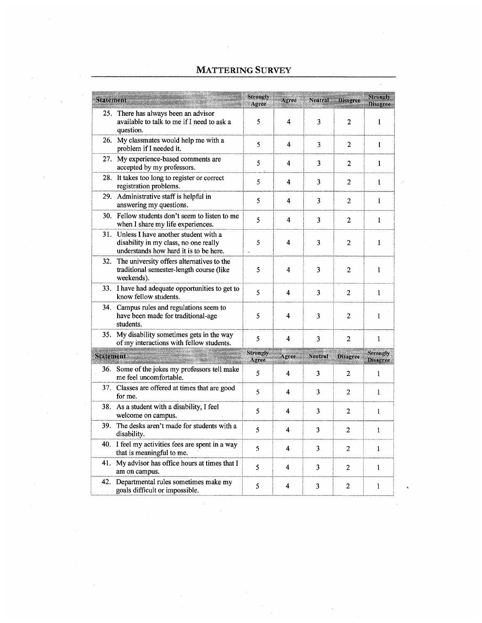## MATTERING SURVEY

| <b>Statement</b> |                                                                                                                         | Strongly<br>Agree        | Agree          | <b>Neutral</b> | Disagree       | Strongly<br><b>Disagree</b>        |
|------------------|-------------------------------------------------------------------------------------------------------------------------|--------------------------|----------------|----------------|----------------|------------------------------------|
| 25.              | There has always been an advisor<br>available to talk to me if I need to ask a<br>question.                             | 5                        | 4              | 3              | $\overline{2}$ | $\mathbf{1}$                       |
|                  | 26. My classmates would help me with a<br>problem if I needed it.                                                       | 5                        | 4              | 3              | $\overline{2}$ | $\mathbf{1}$                       |
| 27.              | My experience-based comments are<br>accepted by my professors.                                                          | 5                        | 4              | 3              | $\overline{2}$ | 1                                  |
| 28.              | It takes too long to register or correct<br>registration problems.                                                      | 5                        | 4              | 3              | $\overline{2}$ | $\mathbf{1}$                       |
|                  | 29. Administrative staff is helpful in<br>answering my questions.                                                       | 5                        | 4              | 3              | 2              | 1                                  |
|                  | 30. Fellow students don't seem to listen to me<br>when I share my life experiences.                                     | 5                        | 4              | 3              | 2              | $\mathbf{1}$                       |
| 31.              | Unless I have another student with a<br>disability in my class, no one really<br>understands how hard it is to be here. | 5                        | 4              | 3              | $\overline{2}$ | 1                                  |
| 32.              | The university offers alternatives to the<br>traditional semester-length course (like<br>weekends).                     | 5                        | 4              | 3              | $\overline{2}$ | 1                                  |
| 33.              | I have had adequate opportunities to get to<br>know fellow students.                                                    | 5                        | 4              | 3              | $\overline{2}$ | $\mathbf{1}$                       |
| 34.              | Campus rules and regulations seem to<br>have been made for traditional-age<br>students.                                 | 5                        | 4              | 3              | 2              | 1                                  |
| 35.              | My disability sometimes gets in the way<br>of my interactions with fellow students.                                     | 5                        | 4 <sup>1</sup> | 3              | $\overline{2}$ | 1                                  |
|                  | Statement <b>Statement</b>                                                                                              | <b>Strongly</b><br>Agree | Agree          | Neutral        | Disagree       | <b>Strongly</b><br><b>Disagree</b> |
| 36.              | Some of the jokes my professors tell make<br>me feel uncomfortable.                                                     | 5                        | 4              | 3              | $\overline{2}$ | 1                                  |
| 37.              | Classes are offered at times that are good<br>for me.                                                                   | 5                        | 4              | 3              | 2              | $\mathbf{1}$                       |
|                  | 38. As a student with a disability, I feel<br>welcome on campus.                                                        | 5                        | 4              | 3              | $\overline{2}$ | $\mathbf{1}$                       |
| 39.              | The desks aren't made for students with a<br>disability.                                                                | 5                        | 4              | 3              | 2              | 1                                  |
|                  | 40. I feel my activities fees are spent in a way<br>that is meaningful to me.                                           | 5                        | 4              | 3              | $\overline{2}$ | $\mathbf{1}$                       |
|                  | 41. My advisor has office hours at times that I<br>am on campus.                                                        | 5                        | 4              | 3              | $\overline{c}$ | $\mathbf{1}$                       |
| 42.              | Departmental rules sometimes make my<br>goals difficult or impossible.                                                  | 5                        | 4              | 3              | 2              | 1                                  |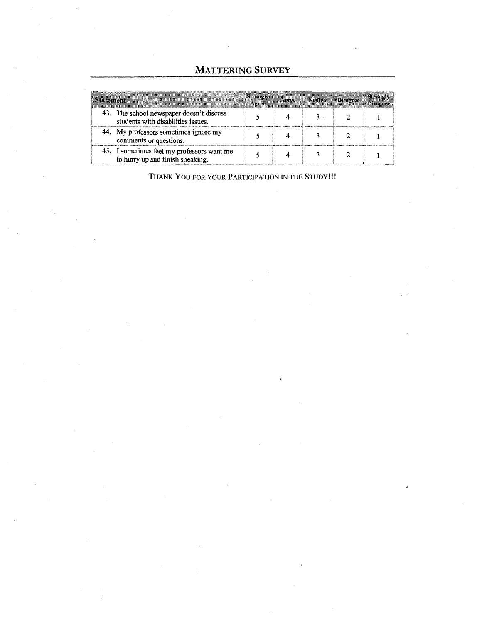## **MATTERING SURVEY**

| <b>Statement</b> |                                                                                | Strongly<br>Agree | Agree Neutral | Disagree | <b>Strongly</b><br><b>Disagree</b> |
|------------------|--------------------------------------------------------------------------------|-------------------|---------------|----------|------------------------------------|
|                  | 43. The school newspaper doesn't discuss<br>students with disabilities issues. |                   |               |          |                                    |
|                  | 44. My professors sometimes ignore my<br>comments or questions.                |                   |               |          |                                    |
|                  | 45. I sometimes feel my professors want me<br>to hurry up and finish speaking. |                   |               |          |                                    |

THANK YOU FOR YOUR PARTICIPATION IN THE STUDY!!!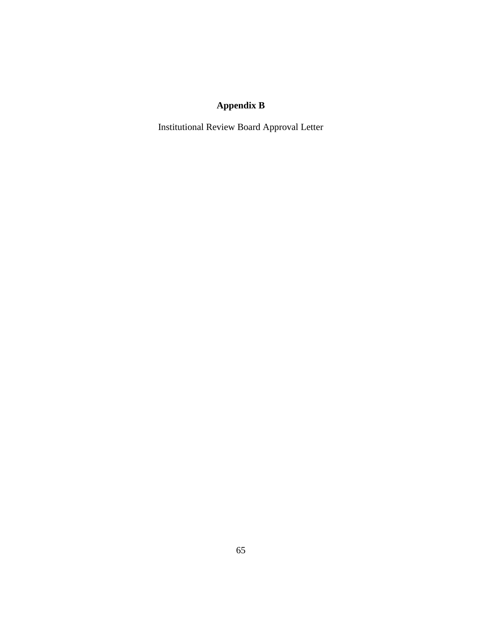## **Appendix B**

Institutional Review Board Approval Letter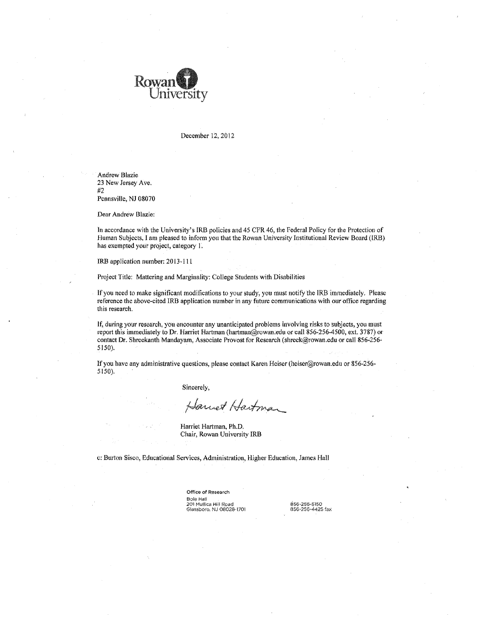

December 12, 2012

Andrew Blazie 23 New Jersey Ave. #2 Pennsville, NJ 08070

Dear Andrew Blazie:

In accordance with the University's IRB policies and 45 CFR 46, the Federal Policy for the Protection of Human Subjects, I am pleased to inform you that the Rowan University Institutional Review Board (IRB) has exempted your project, category 1.

IRB application number: 20 13-111

Project Title: Mattering and Marginality: College Students with Disabilities

If you need to make significant modifications to your study, you must notify the IRB immediately. Please reference the above-cited lRB application number in any future communications with our office regarding this research.

If, during your research, you encounter any unanticipated problems involving risks to subjects, you must report this immediately to Dr. Harriet Hartman (hartman@rowan.edu or call 856-256-4500, ext. 3787) or contact Dr. Shreckanth Mandayam, Associate Provost for Research (shreek@rowan.edu or call 856-256- 5150).

If you have any administrative questions, please contact Karen Heiser (heiser@rowan.edu or 856-256- 5150).

Sincerely,

Harriet Hartman

Harriet Hartman, Ph.D. Chair, Rowan University IRB

c: Burton Sisco, Educational Services, Administration, Higher Education, James Hall

Office of Research Bole Hal! 201 Mullica Hill Road<br>Glassboro, NJ 08028-1701

856-256-5150<br>856-256-4425 fax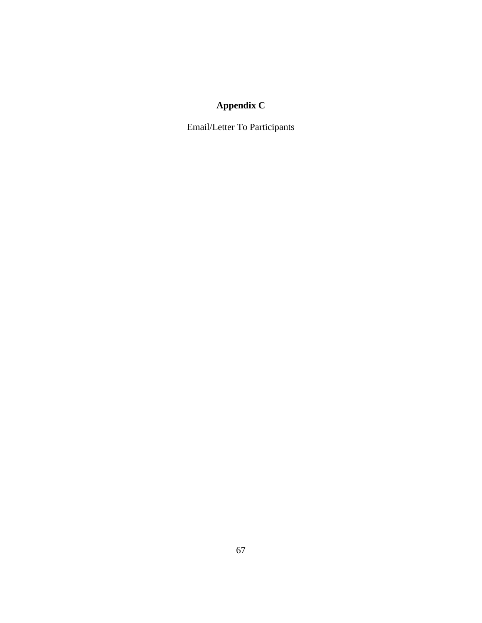## **Appendix C**

Email/Letter To Participants